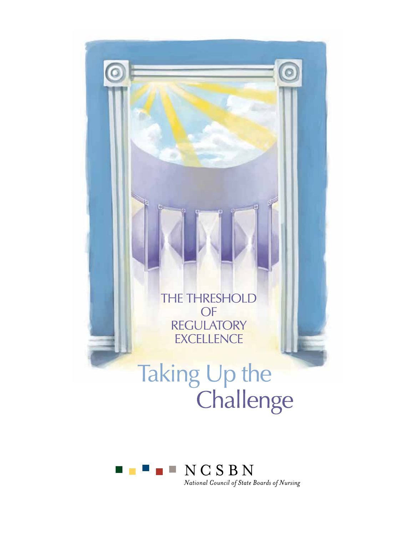

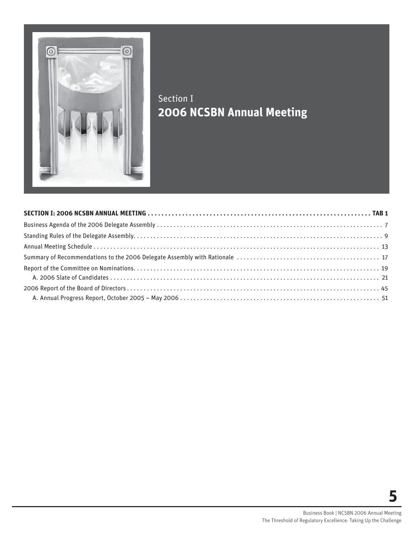

# Section I **2006 NCSBN Annual Meeting**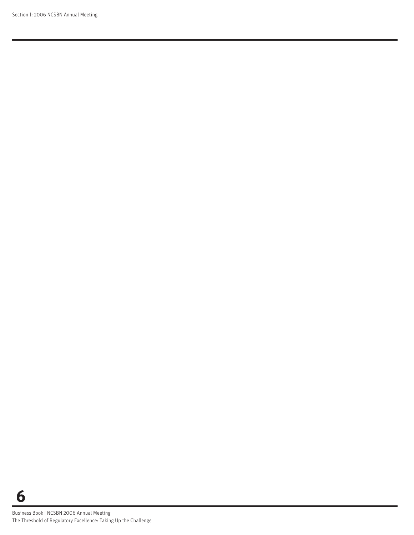Section I: 2006 NCSBN Annual Meeting

**%**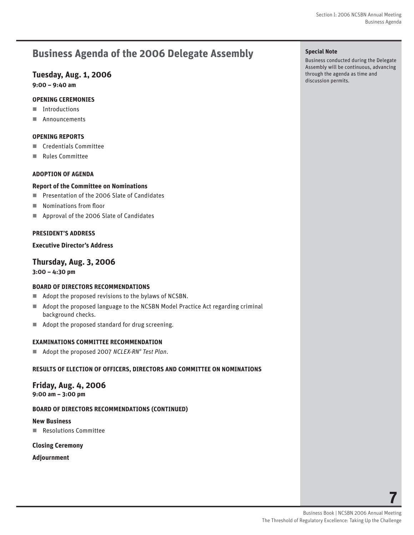# <span id="page-3-0"></span>**Business Agenda of the 2006 Delegate Assembly**

# **Tuesday, Aug. 1, 2006**

**9:00 - 9:40 am** 

## **OPENING CEREMONIES**

- $\blacksquare$  Introductions
- $\blacksquare$  Announcements

## **OPENING REPORTS**

- $\blacksquare$  Credentials Committee
- $\blacksquare$  Rules Committee

## **ADOPTION OF AGENDA**

#### **Report of the Committee on Nominations**

- $\blacksquare$  Presentation of the 2006 Slate of Candidates
- $\blacksquare$  Nominations from floor
- Approval of the 2006 Slate of Candidates

#### **PRESIDENT'S ADDRESS**

## **Executive Director's Address**

## **Thursday, Aug. 3, 2006**

 $3:00 - 4:30$  pm

#### **BOARD OF DIRECTORS RECOMMENDATIONS**

- $\blacksquare$  Adopt the proposed revisions to the bylaws of NCSBN.
- Adopt the proposed language to the NCSBN Model Practice Act regarding criminal background checks.
- $\blacksquare$  Adopt the proposed standard for drug screening.

#### **EXAMINATIONS COMMITTEE RECOMMENDATION**

**E** Adopt the proposed 2007 NCLEX-RN® Test Plan.

#### **RESULTS OF ELECTION OF OFFICERS, DIRECTORS AND COMMITTEE ON NOMINATIONS**

## **Friday, Aug. 4, 2006** 9:00 am - 3:00 pm

#### **BOARD OF DIRECTORS RECOMMENDATIONS (CONTINUED)**

#### **New Business**

 $\blacksquare$  Resolutions Committee

#### **2DB** Ceremony

**Adjournment** 

## **Special Note**

Business conducted during the Delegate Assembly will be continuous, advancing through the agenda as time and discussion permits.

**&**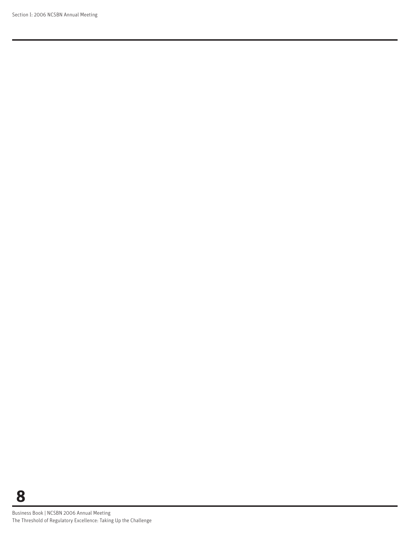Section I: 2006 NCSBN Annual Meeting

**'**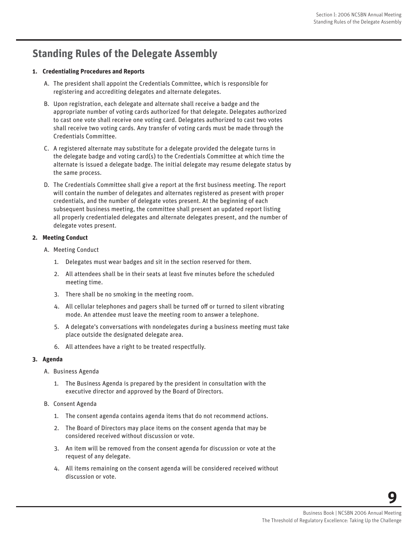# <span id="page-5-0"></span>**Standing Rules of the Delegate Assembly**

#### 1. Credentialing Procedures and Reports

- A. The president shall appoint the Credentials Committee, which is responsible for registering and accrediting delegates and alternate delegates.
- B. Upon registration, each delegate and alternate shall receive a badge and the appropriate number of voting cards authorized for that delegate. Delegates authorized to cast one vote shall receive one voting card. Delegates authorized to cast two votes shall receive two voting cards. Any transfer of voting cards must be made through the Credentials Committee.
- C. A registered alternate may substitute for a delegate provided the delegate turns in the delegate badge and voting card(s) to the Credentials Committee at which time the alternate is issued a delegate badge. The initial delegate may resume delegate status by the same process.
- D. The Credentials Committee shall give a report at the first business meeting. The report will contain the number of delegates and alternates registered as present with proper credentials, and the number of delegate votes present. At the beginning of each subsequent business meeting, the committee shall present an updated report listing all properly credentialed delegates and alternate delegates present, and the number of delegate votes present.

## 2. Meeting Conduct

- A. Meeting Conduct
	- 1. Delegates must wear badges and sit in the section reserved for them.
	- 2. All attendees shall be in their seats at least five minutes before the scheduled meeting time.
	- 3. There shall be no smoking in the meeting room.
	- 4. All cellular telephones and pagers shall be turned off or turned to silent vibrating mode. An attendee must leave the meeting room to answer a telephone.
	- 5. A delegate's conversations with nondelegates during a business meeting must take place outside the designated delegate area.
	- 6. All attendees have a right to be treated respectfully.

#### 3. Agenda

- A. Business Agenda
	- 1. The Business Agenda is prepared by the president in consultation with the executive director and approved by the Board of Directors.
- **B.** Consent Agenda
	- 1. The consent agenda contains agenda items that do not recommend actions.
	- 2. The Board of Directors may place items on the consent agenda that may be considered received without discussion or vote.
	- 3. An item will be removed from the consent agenda for discussion or vote at the request of any delegate.
	- 4. All items remaining on the consent agenda will be considered received without discussion or vote.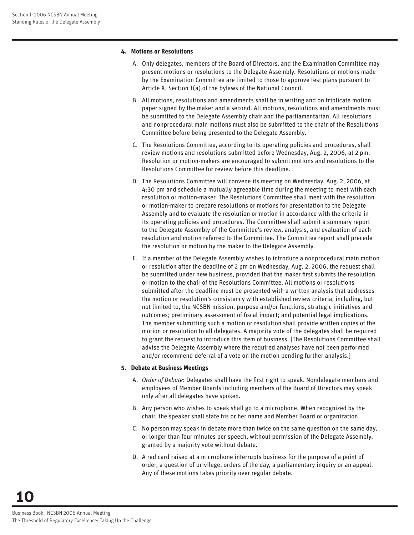#### **4. Motions or Resolutions**

- A. Only delegates, members of the Board of Directors, and the Examination Committee may present motions or resolutions to the Delegate Assembly. Resolutions or motions made by the Examination Committee are limited to those to approve test plans pursuant to Article X, Section  $1(a)$  of the bylaws of the National Council.
- B. All motions, resolutions and amendments shall be in writing and on triplicate motion paper signed by the maker and a second. All motions, resolutions and amendments must be submitted to the Delegate Assembly chair and the parliamentarian. All resolutions and nonprocedural main motions must also be submitted to the chair of the Resolutions Committee before being presented to the Delegate Assembly.
- C. The Resolutions Committee, according to its operating policies and procedures, shall review motions and resolutions submitted before Wednesday, Aug. 2, 2006, at 2 pm. Resolution or motion-makers are encouraged to submit motions and resolutions to the Resolutions Committee for review before this deadline.
- D. The Resolutions Committee will convene its meeting on Wednesday, Aug. 2, 2006, at 4:30 pm and schedule a mutually agreeable time during the meeting to meet with each resolution or motion-maker. The Resolutions Committee shall meet with the resolution  $\alpha$  or motion-maker to prepare resolutions or motions for presentation to the Delegate Assembly and to evaluate the resolution or motion in accordance with the criteria in its operating policies and procedures. The Committee shall submit a summary report to the Delegate Assembly of the Committee's review, analysis, and evaluation of each resolution and motion referred to the Committee. The Committee report shall precede the resolution or motion by the maker to the Delegate Assembly.
- E. If a member of the Delegate Assembly wishes to introduce a nonprocedural main motion or resolution after the deadline of 2 pm on Wednesday, Aug. 2, 2006, the request shall be submitted under new business, provided that the maker first submits the resolution or motion to the chair of the Resolutions Committee. All motions or resolutions submitted after the deadline must be presented with a written analysis that addresses the motion or resolution's consistency with established review criteria, including, but not limited to, the NCSBN mission, purpose and/or functions, strategic initiatives and outcomes; preliminary assessment of fiscal impact; and potential legal implications. The member submitting such a motion or resolution shall provide written copies of the motion or resolution to all delegates. A majority vote of the delegates shall be required to grant the request to introduce this item of business. [The Resolutions Committee shall advise the Delegate Assembly where the required analyses have not been performed and/or recommend deferral of a vote on the motion pending further analysis.]

#### **5. Debate at Business Meetings**

- A. *Order of Debate*: Delegates shall have the first right to speak. Nondelegate members and employees of Member Boards including members of the Board of Directors may speak only after all delegates have spoken.
- B. Any person who wishes to speak shall go to a microphone. When recognized by the chair, the speaker shall state his or her name and Member Board or organization.
- C. No person may speak in debate more than twice on the same question on the same day, or longer than four minutes per speech, without permission of the Delegate Assembly, granted by a majority vote without debate.
- D. A red card raised at a microphone interrupts business for the purpose of a point of order, a question of privilege, orders of the day, a parliamentary inquiry or an appeal. Any of these motions takes priority over regular debate.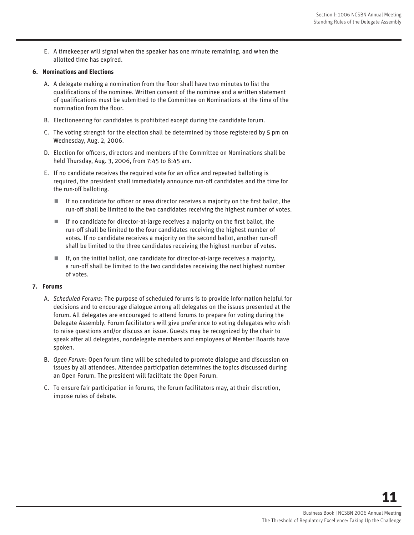E. A timekeeper will signal when the speaker has one minute remaining, and when the allotted time has expired.

#### **6. Nominations and Elections**

- A. A delegate making a nomination from the floor shall have two minutes to list the qualifications of the nominee. Written consent of the nominee and a written statement of qualifications must be submitted to the Committee on Nominations at the time of the nomination from the floor.
- B. Electioneering for candidates is prohibited except during the candidate forum.
- C. The voting strength for the election shall be determined by those registered by 5 pm on Wednesday, Aug. 2, 2006.
- D. Election for officers, directors and members of the Committee on Nominations shall be held Thursday, Aug. 3, 2006, from  $7:45$  to 8:45 am.
- E. If no candidate receives the required vote for an office and repeated balloting is required, the president shall immediately announce run-off candidates and the time for the run-off balloting.
	- $\blacksquare$  If no candidate for officer or area director receives a majority on the first ballot, the run-off shall be limited to the two candidates receiving the highest number of votes.
	- $\blacksquare$  If no candidate for director-at-large receives a majority on the first ballot, the run-off shall be limited to the four candidates receiving the highest number of votes. If no candidate receives a majority on the second ballot, another run-off shall be limited to the three candidates receiving the highest number of votes.
	- If, on the initial ballot, one candidate for director-at-large receives a majority, a run-off shall be limited to the two candidates receiving the next highest number of votes.

#### **7.** Forums

- A. *Scheduled Forums*: The purpose of scheduled forums is to provide information helpful for decisions and to encourage dialogue among all delegates on the issues presented at the forum. All delegates are encouraged to attend forums to prepare for voting during the Delegate Assembly. Forum facilitators will give preference to voting delegates who wish to raise questions and/or discuss an issue. Guests may be recognized by the chair to speak after all delegates, nondelegate members and employees of Member Boards have spoken.
- B. Open Forum: Open forum time will be scheduled to promote dialogue and discussion on issues by all attendees. Attendee participation determines the topics discussed during an Open Forum. The president will facilitate the Open Forum.
- C. To ensure fair participation in forums, the forum facilitators may, at their discretion, impose rules of debate.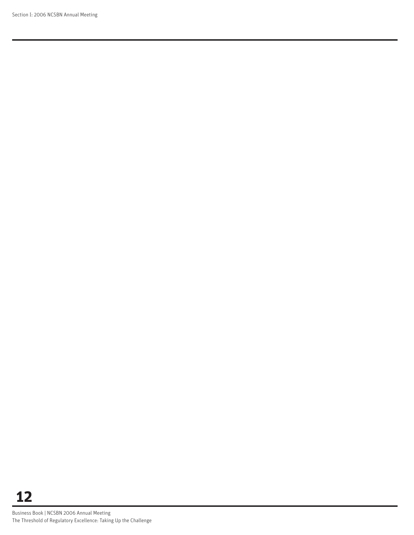Section I: 2006 NCSBN Annual Meeting

# **!**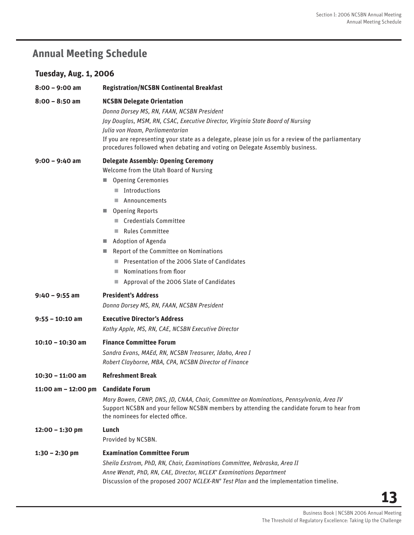# <span id="page-9-0"></span>**Annual Meeting Schedule**

# **Tuesday, Aug. 1, 2006**

| $8:00 - 9:00$ am      | <b>Registration/NCSBN Continental Breakfast</b>                                                                                                                                                                                                                                                                                                                                                                                                                          |
|-----------------------|--------------------------------------------------------------------------------------------------------------------------------------------------------------------------------------------------------------------------------------------------------------------------------------------------------------------------------------------------------------------------------------------------------------------------------------------------------------------------|
| $8:00 - 8:50$ am      | <b>NCSBN Delegate Orientation</b><br>Donna Dorsey MS, RN, FAAN, NCSBN President<br>Jay Douglas, MSM, RN, CSAC, Executive Director, Virginia State Board of Nursing<br>Julia von Haam, Parliamentarian<br>If you are representing your state as a delegate, please join us for a review of the parliamentary<br>procedures followed when debating and voting on Delegate Assembly business.                                                                               |
| $9:00 - 9:40$ am      | <b>Delegate Assembly: Opening Ceremony</b><br>Welcome from the Utah Board of Nursing<br><b>Opening Ceremonies</b><br>$\blacksquare$ Introductions<br>Announcements<br><b>Opening Reports</b><br>ш<br>$\blacksquare$ Credentials Committee<br><b>Rules Committee</b><br>ш<br>Adoption of Agenda<br>Report of the Committee on Nominations<br>ш<br>Presentation of the 2006 Slate of Candidates<br>Nominations from floor<br>ш<br>Approval of the 2006 Slate of Candidates |
| $9:40 - 9:55$ am      | <b>President's Address</b><br>Donna Dorsey MS, RN, FAAN, NCSBN President                                                                                                                                                                                                                                                                                                                                                                                                 |
| $9:55 - 10:10$ am     | <b>Executive Director's Address</b><br>Kathy Apple, MS, RN, CAE, NCSBN Executive Director                                                                                                                                                                                                                                                                                                                                                                                |
| $10:10 - 10:30$ am    | <b>Finance Committee Forum</b><br>Sandra Evans, MAEd, RN, NCSBN Treasurer, Idaho, Area I<br>Robert Clayborne, MBA, CPA, NCSBN Director of Finance                                                                                                                                                                                                                                                                                                                        |
| $10:30 - 11:00$ am    | <b>Refreshment Break</b>                                                                                                                                                                                                                                                                                                                                                                                                                                                 |
| 11:00 am $-$ 12:00 pm | <b>Candidate Forum</b><br>Mary Bowen, CRNP, DNS, JD, CNAA, Chair, Committee on Nominations, Pennsylvania, Area IV<br>Support NCSBN and your fellow NCSBN members by attending the candidate forum to hear from<br>the nominees for elected office.                                                                                                                                                                                                                       |
| $12:00 - 1:30$ pm     | Lunch<br>Provided by NCSBN.                                                                                                                                                                                                                                                                                                                                                                                                                                              |
| $1:30 - 2:30$ pm      | <b>Examination Committee Forum</b><br>Sheila Exstrom, PhD, RN, Chair, Examinations Committee, Nebraska, Area II<br>Anne Wendt, PhD, RN, CAE, Director, NCLEX® Examinations Department<br>Discussion of the proposed 2007 NCLEX-RN® Test Plan and the implementation timeline.                                                                                                                                                                                            |

**13**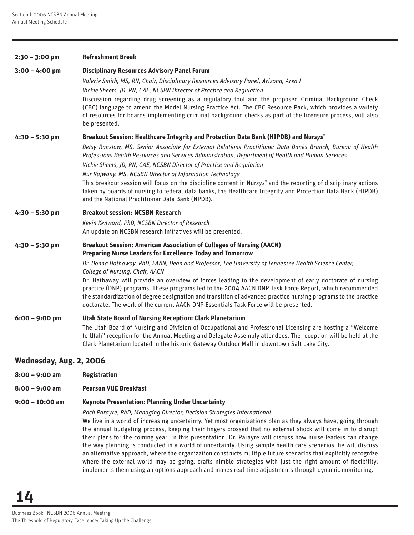| $2:30 - 3:00$ pm | <b>Refreshment Break</b>                                                                                                                                                                                                                                                                                                                                                                                                                                                                                                                                                                                                                                                                                                           |
|------------------|------------------------------------------------------------------------------------------------------------------------------------------------------------------------------------------------------------------------------------------------------------------------------------------------------------------------------------------------------------------------------------------------------------------------------------------------------------------------------------------------------------------------------------------------------------------------------------------------------------------------------------------------------------------------------------------------------------------------------------|
| $3:00 - 4:00$ pm | <b>Disciplinary Resources Advisory Panel Forum</b><br>Valerie Smith, MS, RN, Chair, Disciplinary Resources Advisory Panel, Arizona, Area I<br>Vickie Sheets, JD, RN, CAE, NCSBN Director of Practice and Regulation<br>Discussion regarding drug screening as a regulatory tool and the proposed Criminal Background Check<br>(CBC) language to amend the Model Nursing Practice Act. The CBC Resource Pack, which provides a variety<br>of resources for boards implementing criminal background checks as part of the licensure process, will also<br>be presented.                                                                                                                                                              |
| $4:30 - 5:30$ pm | Breakout Session: Healthcare Integrity and Protection Data Bank (HIPDB) and Nursys®<br>Betsy Ranslow, MS, Senior Associate for External Relations Practitioner Data Banks Branch, Bureau of Health<br>Professions Health Resources and Services Administration, Department of Health and Human Services<br>Vickie Sheets, JD, RN, CAE, NCSBN Director of Practice and Regulation<br>Nur Rajwany, MS, NCSBN Director of Information Technology<br>This breakout session will focus on the discipline content in Nursys® and the reporting of disciplinary actions<br>taken by boards of nursing to federal data banks, the Healthcare Integrity and Protection Data Bank (HIPDB)<br>and the National Practitioner Data Bank (NPDB). |
| $4:30 - 5:30$ pm | <b>Breakout session: NCSBN Research</b><br>Kevin Kenward, PhD, NCSBN Director of Research<br>An update on NCSBN research initiatives will be presented.                                                                                                                                                                                                                                                                                                                                                                                                                                                                                                                                                                            |
| $4:30 - 5:30$ pm | <b>Breakout Session: American Association of Colleges of Nursing (AACN)</b><br><b>Preparing Nurse Leaders for Excellence Today and Tomorrow</b><br>Dr. Donna Hathaway, PhD, FAAN, Dean and Professor, The University of Tennessee Health Science Center,<br>College of Nursing, Chair, AACN<br>Dr. Hathaway will provide an overview of forces leading to the development of early doctorate of nursing<br>practice (DNP) programs. These programs led to the 2004 AACN DNP Task Force Report, which recommended<br>the standardization of degree designation and transition of advanced practice nursing programs to the practice<br>doctorate. The work of the current AACN DNP Essentials Task Force will be presented.         |
| $6:00 - 9:00$ pm | Utah State Board of Nursing Reception: Clark Planetarium<br>The Utah Board of Nursing and Division of Occupational and Professional Licensing are hosting a "Welcome<br>to Utah" reception for the Annual Meeting and Delegate Assembly attendees. The reception will be held at the<br>Clark Planetarium located in the historic Gateway Outdoor Mall in downtown Salt Lake City.                                                                                                                                                                                                                                                                                                                                                 |

## Wednesday, Aug. 2, 2006

- $8:00 9:00$  am **Registration**
- **Pearson VUE Breakfast**  $8:00 - 9:00$  am

#### $9:00 - 10:00$  am **Keynote Presentation: Planning Under Uncertainty**

Roch Parayre, PhD, Managing Director, Decision Strategies International

We live in a world of increasing uncertainty. Yet most organizations plan as they always have, going through the annual budgeting process, keeping their fingers crossed that no external shock will come in to disrupt their plans for the coming year. In this presentation, Dr. Parayre will discuss how nurse leaders can change the way planning is conducted in a world of uncertainty. Using sample health care scenarios, he will discuss an alternative approach, where the organization constructs multiple future scenarios that explicitly recognize where the external world may be going, crafts nimble strategies with just the right amount of flexibility, implements them using an options approach and makes real-time adjustments through dynamic monitoring.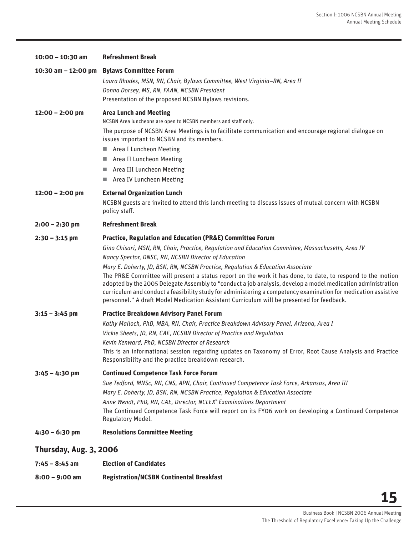| $10:00 - 10:30$ am     | <b>Refreshment Break</b>                                                                                                                                                                                                                                                                                                                                                                                                                                                                                                                                                                                                                                                                                                                                         |
|------------------------|------------------------------------------------------------------------------------------------------------------------------------------------------------------------------------------------------------------------------------------------------------------------------------------------------------------------------------------------------------------------------------------------------------------------------------------------------------------------------------------------------------------------------------------------------------------------------------------------------------------------------------------------------------------------------------------------------------------------------------------------------------------|
| 10:30 am $-$ 12:00 pm  | <b>Bylaws Committee Forum</b><br>Laura Rhodes, MSN, RN, Chair, Bylaws Committee, West Virginia-RN, Area II<br>Donna Dorsey, MS, RN, FAAN, NCSBN President<br>Presentation of the proposed NCSBN Bylaws revisions.                                                                                                                                                                                                                                                                                                                                                                                                                                                                                                                                                |
| $12:00 - 2:00$ pm      | <b>Area Lunch and Meeting</b><br>NCSBN Area luncheons are open to NCSBN members and staff only.<br>The purpose of NCSBN Area Meetings is to facilitate communication and encourage regional dialogue on<br>issues important to NCSBN and its members.<br>■ Area I Luncheon Meeting<br>Area II Luncheon Meeting<br>$\sim$<br>Area III Luncheon Meeting<br>Area IV Luncheon Meeting<br>ш                                                                                                                                                                                                                                                                                                                                                                           |
| $12:00 - 2:00$ pm      | <b>External Organization Lunch</b><br>NCSBN guests are invited to attend this lunch meeting to discuss issues of mutual concern with NCSBN<br>policy staff.                                                                                                                                                                                                                                                                                                                                                                                                                                                                                                                                                                                                      |
| $2:00 - 2:30$ pm       | <b>Refreshment Break</b>                                                                                                                                                                                                                                                                                                                                                                                                                                                                                                                                                                                                                                                                                                                                         |
| $2:30 - 3:15$ pm       | <b>Practice, Regulation and Education (PR&amp;E) Committee Forum</b><br>Gino Chisari, MSN, RN, Chair, Practice, Requlation and Education Committee, Massachusetts, Area IV<br>Nancy Spector, DNSC, RN, NCSBN Director of Education<br>Mary E. Doherty, JD, BSN, RN, NCSBN Practice, Regulation & Education Associate<br>The PR&E Committee will present a status report on the work it has done, to date, to respond to the motion<br>adopted by the 2005 Delegate Assembly to "conduct a job analysis, develop a model medication administration<br>curriculum and conduct a feasibility study for administering a competency examination for medication assistive<br>personnel." A draft Model Medication Assistant Curriculum will be presented for feedback. |
| $3:15 - 3:45$ pm       | <b>Practice Breakdown Advisory Panel Forum</b><br>Kathy Malloch, PhD, MBA, RN, Chair, Practice Breakdown Advisory Panel, Arizona, Area I<br>Vickie Sheets, JD, RN, CAE, NCSBN Director of Practice and Regulation<br>Kevin Kenward, PhD, NCSBN Director of Research<br>This is an informational session regarding updates on Taxonomy of Error, Root Cause Analysis and Practice<br>Responsibility and the practice breakdown research.                                                                                                                                                                                                                                                                                                                          |
| $3:45 - 4:30$ pm       | <b>Continued Competence Task Force Forum</b><br>Sue Tedford, MNSc, RN, CNS, APN, Chair, Continued Competence Task Force, Arkansas, Area III<br>Mary E. Doherty, JD, BSN, RN, NCSBN Practice, Regulation & Education Associate<br>Anne Wendt, PhD, RN, CAE, Director, NCLEX® Examinations Department<br>The Continued Competence Task Force will report on its FYO6 work on developing a Continued Competence<br>Regulatory Model.                                                                                                                                                                                                                                                                                                                                |
| $4:30 - 6:30$ pm       | <b>Resolutions Committee Meeting</b>                                                                                                                                                                                                                                                                                                                                                                                                                                                                                                                                                                                                                                                                                                                             |
| Thursday, Aug. 3, 2006 |                                                                                                                                                                                                                                                                                                                                                                                                                                                                                                                                                                                                                                                                                                                                                                  |
| $7:45 - 8:45$ am       | <b>Election of Candidates</b>                                                                                                                                                                                                                                                                                                                                                                                                                                                                                                                                                                                                                                                                                                                                    |
| $8:00 - 9:00$ am       | <b>Registration/NCSBN Continental Breakfast</b>                                                                                                                                                                                                                                                                                                                                                                                                                                                                                                                                                                                                                                                                                                                  |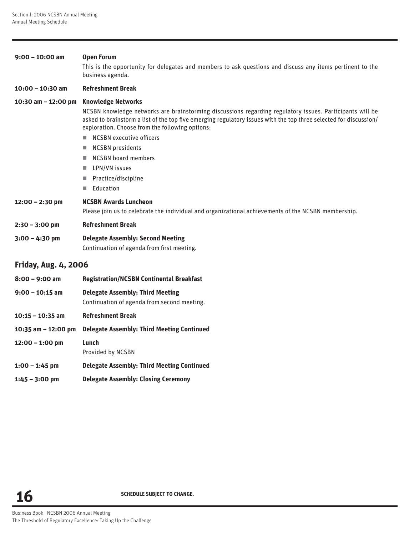| $9:00 - 10:00$ am           | <b>Open Forum</b>                                                                                                                                                                                                                                                                |  |
|-----------------------------|----------------------------------------------------------------------------------------------------------------------------------------------------------------------------------------------------------------------------------------------------------------------------------|--|
|                             | This is the opportunity for delegates and members to ask questions and discuss any items pertinent to the<br>business agenda.                                                                                                                                                    |  |
| $10:00 - 10:30$ am          | <b>Refreshment Break</b>                                                                                                                                                                                                                                                         |  |
| 10:30 am $-$ 12:00 pm       | <b>Knowledge Networks</b>                                                                                                                                                                                                                                                        |  |
|                             | NCSBN knowledge networks are brainstorming discussions regarding regulatory issues. Participants will be<br>asked to brainstorm a list of the top five emerging regulatory issues with the top three selected for discussion/<br>exploration. Choose from the following options: |  |
|                             | $\blacksquare$ NCSBN executive officers                                                                                                                                                                                                                                          |  |
|                             | NCSBN presidents                                                                                                                                                                                                                                                                 |  |
|                             | $\blacksquare$ NCSBN board members                                                                                                                                                                                                                                               |  |
|                             | ■ LPN/VN issues                                                                                                                                                                                                                                                                  |  |
|                             | Practice/discipline                                                                                                                                                                                                                                                              |  |
|                             | $\blacksquare$ Education                                                                                                                                                                                                                                                         |  |
| $12:00 - 2:30$ pm           | <b>NCSBN Awards Luncheon</b>                                                                                                                                                                                                                                                     |  |
|                             | Please join us to celebrate the individual and organizational achievements of the NCSBN membership.                                                                                                                                                                              |  |
| $2:30 - 3:00$ pm            | <b>Refreshment Break</b>                                                                                                                                                                                                                                                         |  |
| $3:00 - 4:30$ pm            | <b>Delegate Assembly: Second Meeting</b>                                                                                                                                                                                                                                         |  |
|                             | Continuation of agenda from first meeting.                                                                                                                                                                                                                                       |  |
| <b>Friday, Aug. 4, 2006</b> |                                                                                                                                                                                                                                                                                  |  |
| $8:00 - 9:00$ am            | <b>Registration/NCSBN Continental Breakfast</b>                                                                                                                                                                                                                                  |  |
| $9:00 - 10:15$ am           | <b>Delegate Assembly: Third Meeting</b>                                                                                                                                                                                                                                          |  |
|                             | Continuation of agenda from second meeting.                                                                                                                                                                                                                                      |  |
| $10:15 - 10:35$ am          | <b>Refreshment Break</b>                                                                                                                                                                                                                                                         |  |
| 10:35 am $-$ 12:00 pm       | <b>Delegate Assembly: Third Meeting Continued</b>                                                                                                                                                                                                                                |  |
| $12:00 - 1:00$ pm           | Lunch                                                                                                                                                                                                                                                                            |  |
|                             | Provided by NCSBN                                                                                                                                                                                                                                                                |  |
| $1:00 - 1:45$ pm            | <b>Delegate Assembly: Third Meeting Continued</b>                                                                                                                                                                                                                                |  |
| $1:45 - 3:00$ pm            | <b>Delegate Assembly: Closing Ceremony</b>                                                                                                                                                                                                                                       |  |

**SCHEDULE SUBJECT TO CHANGE.**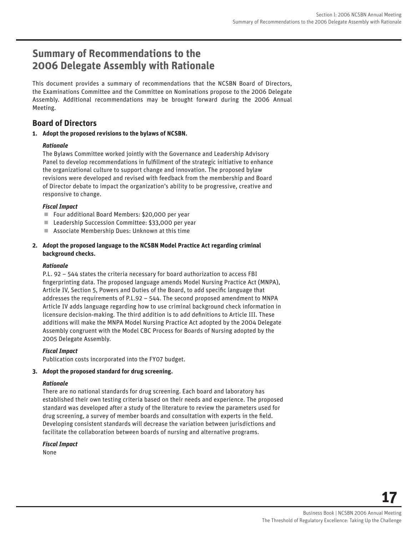# <span id="page-13-0"></span>**Summary of Recommendations to the 2006 Delegate Assembly with Rationale**

This document provides a summary of recommendations that the NCSBN Board of Directors, the Examinations Committee and the Committee on Nominations propose to the 2006 Delegate Assembly. Additional recommendations may be brought forward during the 2006 Annual Meeting.

## **Board of Directors**

## **1.** Adopt the proposed revisions to the bylaws of NCSBN.

## *Rationale*

The Bylaws Committee worked jointly with the Governance and Leadership Advisory Panel to develop recommendations in fulfillment of the strategic initiative to enhance the organizational culture to support change and innovation. The proposed bylaw revisions were developed and revised with feedback from the membership and Board of Director debate to impact the organization's ability to be progressive, creative and responsive to change.

## **Fiscal Impact**

- Four additional Board Members: \$20,000 per year
- Leadership Succession Committee: \$33,000 per year
- $\blacksquare$  Associate Membership Dues: Unknown at this time

## 2. Adopt the proposed language to the NCSBN Model Practice Act regarding criminal **background checks.**

#### **Rationale**

P.L. 92 - 544 states the criteria necessary for board authorization to access FBI fingerprinting data. The proposed language amends Model Nursing Practice Act (MNPA), Article IV, Section 5, Powers and Duties of the Board, to add specific language that addresses the requirements of P.L.92 - 544. The second proposed amendment to MNPA Article IV adds language regarding how to use criminal background check information in licensure decision-making. The third addition is to add definitions to Article III. These additions will make the MNPA Model Nursing Practice Act adopted by the 2004 Delegate Assembly congruent with the Model CBC Process for Boards of Nursing adopted by the 2005 Delegate Assembly.

## **Fiscal Impact**

Publication costs incorporated into the FYO7 budget.

#### 3. Adopt the proposed standard for drug screening.

#### **Rationale**

There are no national standards for drug screening. Each board and laboratory has established their own testing criteria based on their needs and experience. The proposed standard was developed after a study of the literature to review the parameters used for drug screening, a survey of member boards and consultation with experts in the field. Developing consistent standards will decrease the variation between jurisdictions and facilitate the collaboration between boards of nursing and alternative programs.

**Fiscal Impact** 

None

 **&**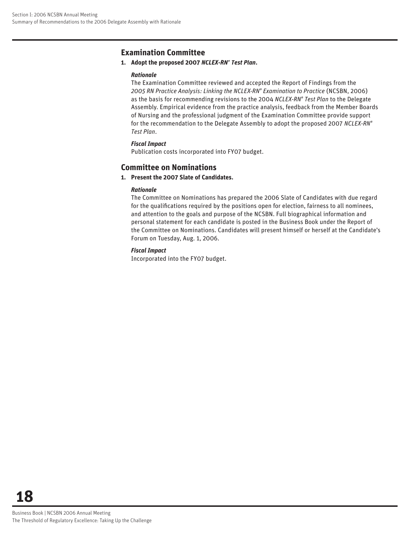## **Examination Committee**

## 1. Adopt the proposed 2007 NCLEX-RN<sup>®</sup> Test Plan.

#### $Ratio *n*ale$

The Examination Committee reviewed and accepted the Report of Findings from the 2005 RN Practice Analysis: Linking the NCLEX-RN® Examination to Practice (NCSBN, 2006) as the basis for recommending revisions to the 2004 NCLEX-RN<sup>®</sup> Test Plan to the Delegate Assembly. Empirical evidence from the practice analysis, feedback from the Member Boards of Nursing and the professional judgment of the Examination Committee provide support for the recommendation to the Delegate Assembly to adopt the proposed 2007 NCLEX-RN<sup>®</sup> Test Plan.

## **Fiscal Impact**

Publication costs incorporated into FYO7 budget.

## **Committee on Nominations**

1. Present the 2007 Slate of Candidates.

## $Ratio *n*$

The Committee on Nominations has prepared the 2006 Slate of Candidates with due regard for the qualifications required by the positions open for election, fairness to all nominees, and attention to the goals and purpose of the NCSBN. Full biographical information and personal statement for each candidate is posted in the Business Book under the Report of the Committee on Nominations. Candidates will present himself or herself at the Candidate's Forum on Tuesday, Aug. 1, 2006.

#### **Fiscal Impact**

Incorporated into the FYO7 budget.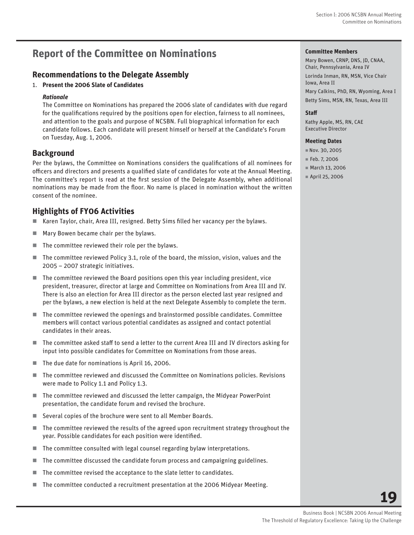# <span id="page-15-0"></span>**Report of the Committee on Nominations**

## **Recommendations to the Delegate Assembly**

## 1. Present the 2006 Slate of Candidates

#### $Ratio *n*$

The Committee on Nominations has prepared the 2006 slate of candidates with due regard for the qualifications required by the positions open for election, fairness to all nominees, and attention to the goals and purpose of NCSBN. Full biographical information for each candidate follows. Each candidate will present himself or herself at the Candidate's Forum on Tuesday, Aug. 1, 2006.

## **Background**

Per the bylaws, the Committee on Nominations considers the qualifications of all nominees for officers and directors and presents a qualified slate of candidates for vote at the Annual Meeting. The committee's report is read at the first session of the Delegate Assembly, when additional nominations may be made from the floor. No name is placed in nomination without the written consent of the nominee.

## **Highlights of FYO6 Activities**

- $\blacksquare$  Karen Taylor, chair, Area III, resigned. Betty Sims filled her vacancy per the bylaws.
- Mary Bowen became chair per the bylaws.
- $\blacksquare$  The committee reviewed their role per the bylaws.
- $\blacksquare$  The committee reviewed Policy 3.1, role of the board, the mission, vision, values and the  $2005 - 2007$  strategic initiatives.
- $\blacksquare$  The committee reviewed the Board positions open this year including president, vice president, treasurer, director at large and Committee on Nominations from Area III and IV. There is also an election for Area III director as the person elected last year resigned and per the bylaws, a new election is held at the next Delegate Assembly to complete the term.
- $\blacksquare$  The committee reviewed the openings and brainstormed possible candidates. Committee  $\Box$  members will contact various potential candidates as assigned and contact potential candidates in their areas.
- $\blacksquare$  The committee asked staff to send a letter to the current Area III and IV directors asking for input into possible candidates for Committee on Nominations from those areas.
- $\blacksquare$  The due date for nominations is April 16, 2006.
- $\blacksquare$  The committee reviewed and discussed the Committee on Nominations policies. Revisions were made to Policy 1.1 and Policy 1.3.
- $\blacksquare$  The committee reviewed and discussed the letter campaign, the Midyear PowerPoint presentation, the candidate forum and revised the brochure.
- $\blacksquare$  Several copies of the brochure were sent to all Member Boards.
- $\blacksquare$  The committee reviewed the results of the agreed upon recruitment strategy throughout the year. Possible candidates for each position were identified.
- $\blacksquare$  The committee consulted with legal counsel regarding bylaw interpretations.
- $\blacksquare$  The committee discussed the candidate forum process and campaigning guidelines.
- $\blacksquare$  The committee revised the acceptance to the slate letter to candidates.
- $\blacksquare$  The committee conducted a recruitment presentation at the 2006 Midyear Meeting.

#### **Committee Members**

Mary Bowen, CRNP, DNS, JD, CNAA, Chair, Pennsylvania, Area IV

Lorinda Inman, RN, MSN, Vice Chair Iowa, Area II

Mary Calkins, PhD, RN, Wyoming, Area I

Betty Sims, MSN, RN, Texas, Area III

#### **Staff**

Kathy Apple, MS, RN, CAE Executive Director

#### **Meeting Dates**

 $Nov. 30.2005$  $\blacksquare$  Feb. 7, 2006 ■ March 13, 2006  $\blacksquare$  April 25, 2006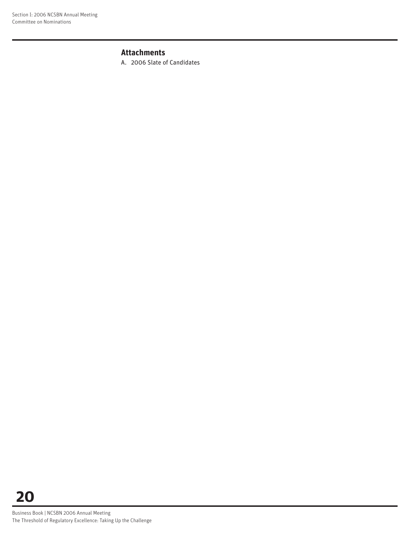# **Attachments**

A. 2006 Slate of Candidates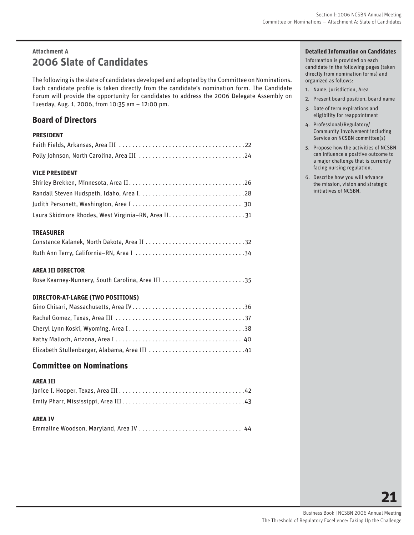# <span id="page-17-0"></span>**Attachment A 2006 Slate of Candidates**

The following is the slate of candidates developed and adopted by the Committee on Nominations. Each candidate profile is taken directly from the candidate's nomination form. The Candidate Forum will provide the opportunity for candidates to address the 2006 Delegate Assembly on Tuesday, Aug. 1, 2006, from  $10:35$  am  $- 12:00$  pm.

## **Board of Directors**

## **PRESIDENT**

## **VICE PRESIDENT**

| Laura Skidmore Rhodes, West Virginia–RN, Area II31 |
|----------------------------------------------------|

## **TREASURER**

#### **AREA III DIRECTOR**

#### DIRECTOR-AT-LARGE (TWO POSITIONS)

## **2.2 Committee on Nominations**

## **AREA III**

## **AREA IV**

|--|--|--|

## **Detailed Information on Candidates**

Information is provided on each candidate in the following pages (taken directly from nomination forms) and organized as follows:

- 1. Name, Jurisdiction, Area
- 2. Present board position, board name
- 3. Date of term expirations and eligibility for reappointment
- 4. Professional/Regulatory/ Community Involvement including Service on NCSBN committee(s)
- 5. Propose how the activities of NCSBN can influence a positive outcome to a major challenge that is currently facing nursing regulation.
- 6. Describe how you will advance the mission, vision and strategic initiatives of NCSBN.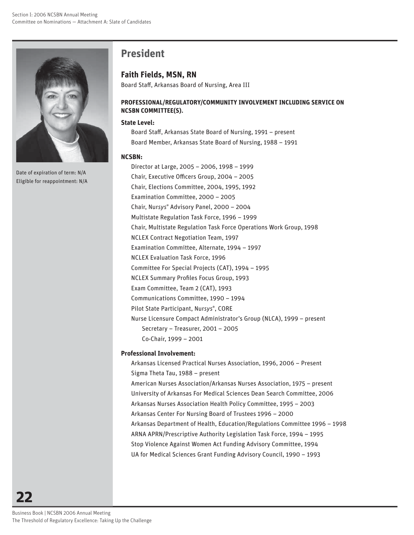

Date of expiration of term: N/A Eligible for reappointment: N/A

# **President**

## **Faith Fields, MSN, RN**

Board Staff, Arkansas Board of Nursing, Area III

## PROFESSIONAL/REGULATORY/COMMUNITY INVOLVEMENT INCLUDING SERVICE ON **NCSBN COMMITTEE(S).**

## **State Level:**

Board Staff, Arkansas State Board of Nursing, 1991 - present Board Member, Arkansas State Board of Nursing, 1988 - 1991

## **NCSBN:**

Director at Large, 2005 - 2006, 1998 - 1999 Chair, Executive Officers Group, 2004 - 2005 Chair, Elections Committee, 2004, 1995, 1992 Examination Committee, 2000 - 2005 Chair, Nursys® Advisory Panel, 2000 - 2004 Multistate Regulation Task Force, 1996 - 1999 Chair, Multistate Regulation Task Force Operations Work Group, 1998 **NCLEX Contract Negotiation Team, 1997** Examination Committee, Alternate, 1994 - 1997 **NCLEX Evaluation Task Force, 1996** Committee For Special Projects (CAT), 1994 - 1995 **NCLEX Summary Profiles Focus Group, 1993** Exam Committee, Team 2 (CAT), 1993 Communications Committee, 1990 - 1994 Pilot State Participant, Nursys®, CORE Nurse Licensure Compact Administrator's Group (NLCA), 1999 - present Secretary - Treasurer, 2001 - 2005 Co-Chair, 1999 - 2001

## **Professional Involvement:**

Arkansas Licensed Practical Nurses Association, 1996, 2006 - Present Sigma Theta Tau, 1988 - present American Nurses Association/Arkansas Nurses Association, 1975 - present University of Arkansas For Medical Sciences Dean Search Committee, 2006 Arkansas Nurses Association Health Policy Committee, 1995 - 2003 Arkansas Center For Nursing Board of Trustees 1996 - 2000 Arkansas Department of Health, Education/Regulations Committee 1996 - 1998 ARNA APRN/Prescriptive Authority Legislation Task Force, 1994 - 1995 Stop Violence Against Women Act Funding Advisory Committee, 1994 UA for Medical Sciences Grant Funding Advisory Council, 1990 - 1993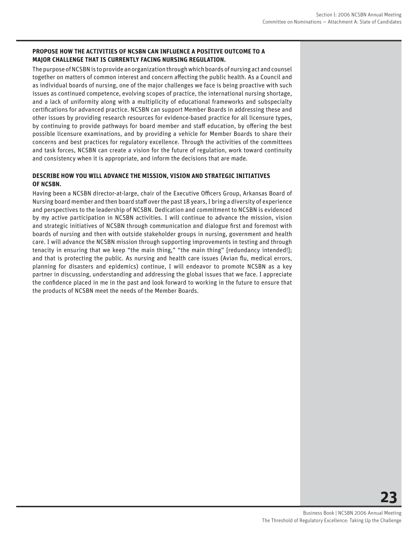## **PROPOSE HOW THE ACTIVITIES OF NCSBN CAN INFLUENCE A POSITIVE OUTCOME TO A MAJOR CHALLENGE THAT IS CURRENTLY FACING NURSING REGULATION.**

The purpose of NCSBN is to provide an organization through which boards of nursing act and counsel together on matters of common interest and concern affecting the public health. As a Council and as individual boards of nursing, one of the major challenges we face is being proactive with such issues as continued competence, evolving scopes of practice, the international nursing shortage, and a lack of uniformity along with a multiplicity of educational frameworks and subspecialty certifications for advanced practice. NCSBN can support Member Boards in addressing these and other issues by providing research resources for evidence-based practice for all licensure types, by continuing to provide pathways for board member and staff education, by offering the best possible licensure examinations, and by providing a vehicle for Member Boards to share their concerns and best practices for regulatory excellence. Through the activities of the committees and task forces, NCSBN can create a vision for the future of regulation, work toward continuity and consistency when it is appropriate, and inform the decisions that are made.

## **DESCRIBE HOW YOU WILL ADVANCE THE MISSION, VISION AND STRATEGIC INITIATIVES OF NCSBN.**

Having been a NCSBN director-at-large, chair of the Executive Officers Group, Arkansas Board of Nursing board member and then board staff over the past 18 years, I bring a diversity of experience and perspectives to the leadership of NCSBN. Dedication and commitment to NCSBN is evidenced by my active participation in NCSBN activities. I will continue to advance the mission, vision and strategic initiatives of NCSBN through communication and dialogue first and foremost with boards of nursing and then with outside stakeholder groups in nursing, government and health care. I will advance the NCSBN mission through supporting improvements in testing and through tenacity in ensuring that we keep "the main thing," "the main thing" [redundancy intended!]; and that is protecting the public. As nursing and health care issues (Avian flu, medical errors, planning for disasters and epidemics) continue, I will endeavor to promote NCSBN as a key partner in discussing, understanding and addressing the global issues that we face. I appreciate the confidence placed in me in the past and look forward to working in the future to ensure that the products of NCSBN meet the needs of the Member Boards.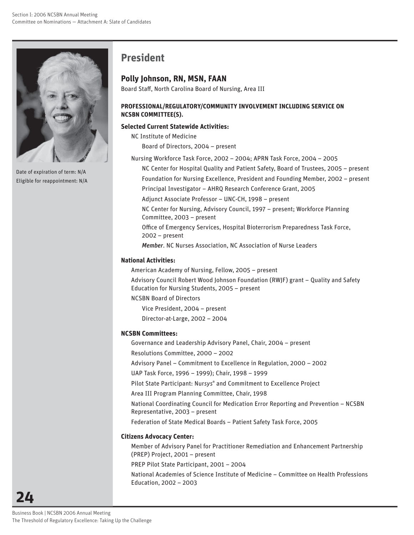

Date of expiration of term: N/A Eligible for reappointment: N/A

# **President**

## Polly Johnson, RN, MSN, FAAN

Board Staff, North Carolina Board of Nursing, Area III

## PROFESSIONAL/REGULATORY/COMMUNITY INVOLVEMENT INCLUDING SERVICE ON **NCSBN COMMITTEE(S).**

## **Selected Current Statewide Activities:**

NC Institute of Medicine

Board of Directors, 2004 - present

Nursing Workforce Task Force, 2002 - 2004; APRN Task Force, 2004 - 2005

NC Center for Hospital Quality and Patient Safety, Board of Trustees, 2005 - present

Foundation for Nursing Excellence, President and Founding Member, 2002 - present

Principal Investigator - AHRQ Research Conference Grant, 2005

Adjunct Associate Professor - UNC-CH, 1998 - present

NC Center for Nursing, Advisory Council, 1997 - present; Workforce Planning Committee, 2003 - present

Office of Emergency Services, Hospital Bioterrorism Preparedness Task Force,  $2002 - present$ 

Member. NC Nurses Association, NC Association of Nurse Leaders

## **National Activities:**

American Academy of Nursing, Fellow, 2005 - present Advisory Council Robert Wood Johnson Foundation (RWJF) grant - Quality and Safety Education for Nursing Students, 2005 - present **NCSBN Board of Directors** 

Vice President, 2004 - present Director-at-Large, 2002 - 2004

## **NCSBN Committees:**

Governance and Leadership Advisory Panel, Chair, 2004 - present Resolutions Committee, 2000 - 2002 Advisory Panel - Commitment to Excellence in Regulation, 2000 - 2002 UAP Task Force, 1996 - 1999); Chair, 1998 - 1999 Pilot State Participant: Nursys® and Commitment to Excellence Project Area III Program Planning Committee, Chair, 1998 National Coordinating Council for Medication Error Reporting and Prevention - NCSBN Representative, 2003 - present Federation of State Medical Boards - Patient Safety Task Force, 2005

## **Citizens Advocacy Center:**

Member of Advisory Panel for Practitioner Remediation and Enhancement Partnership (PREP) Project, 2001 - present

PREP Pilot State Participant, 2001 - 2004

National Academies of Science Institute of Medicine - Committee on Health Professions Education, 2002 - 2003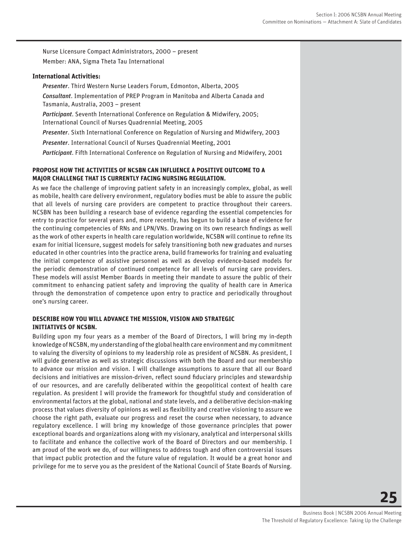Nurse Licensure Compact Administrators, 2000 - present Member: ANA, Sigma Theta Tau International

#### **International Activities:**

*Presenter*. Third Western Nurse Leaders Forum, Edmonton, Alberta, 2005 **Consultant.** Implementation of PREP Program in Manitoba and Alberta Canada and Tasmania, Australia, 2003 - present *Participant*. Seventh International Conference on Regulation & Midwifery, 2005;

International Council of Nurses Quadrennial Meeting, 2005

*Presenter*. Sixth International Conference on Regulation of Nursing and Midwifery, 2003

*Presenter. International Council of Nurses Quadrennial Meeting, 2001* 

Participant. Fifth International Conference on Regulation of Nursing and Midwifery, 2001

#### PROPOSE HOW THE ACTIVITIES OF NCSBN CAN INFLUENCE A POSITIVE OUTCOME TO A MAJOR CHALLENGE THAT IS CURRENTLY FACING NURSING REGULATION.

As we face the challenge of improving patient safety in an increasingly complex, global, as well as mobile, health care delivery environment, regulatory bodies must be able to assure the public that all levels of nursing care providers are competent to practice throughout their careers. NCSBN has been building a research base of evidence regarding the essential competencies for entry to practice for several years and, more recently, has begun to build a base of evidence for the continuing competencies of RNs and LPN/VNs. Drawing on its own research findings as well as the work of other experts in health care regulation worldwide, NCSBN will continue to refine its exam for initial licensure, suggest models for safely transitioning both new graduates and nurses educated in other countries into the practice arena, build frameworks for training and evaluating the initial competence of assistive personnel as well as develop evidence-based models for the periodic demonstration of continued competence for all levels of nursing care providers. These models will assist Member Boards in meeting their mandate to assure the public of their commitment to enhancing patient safety and improving the quality of health care in America through the demonstration of competence upon entry to practice and periodically throughout one's nursing career.

#### DESCRIBE HOW YOU WILL ADVANCE THE MISSION, VISION AND STRATEGIC **INITIATIVES OF NCSBN.**

Building upon my four years as a member of the Board of Directors, I will bring my in-depth knowledge of NCSBN, my understanding of the global health care environment and my commitment to valuing the diversity of opinions to my leadership role as president of NCSBN. As president, I will guide generative as well as strategic discussions with both the Board and our membership to advance our mission and vision. I will challenge assumptions to assure that all our Board decisions and initiatives are mission-driven, reflect sound fiduciary principles and stewardship of our resources, and are carefully deliberated within the geopolitical context of health care regulation. As president I will provide the framework for thoughtful study and consideration of environmental factors at the global, national and state levels, and a deliberative decision-making process that values diversity of opinions as well as flexibility and creative visioning to assure we choose the right path, evaluate our progress and reset the course when necessary, to advance regulatory excellence. I will bring my knowledge of those governance principles that power exceptional boards and organizations along with my visionary, analytical and interpersonal skills to facilitate and enhance the collective work of the Board of Directors and our membership. I am proud of the work we do, of our willingness to address tough and often controversial issues that impact public protection and the future value of regulation. It would be a great honor and privilege for me to serve you as the president of the National Council of State Boards of Nursing.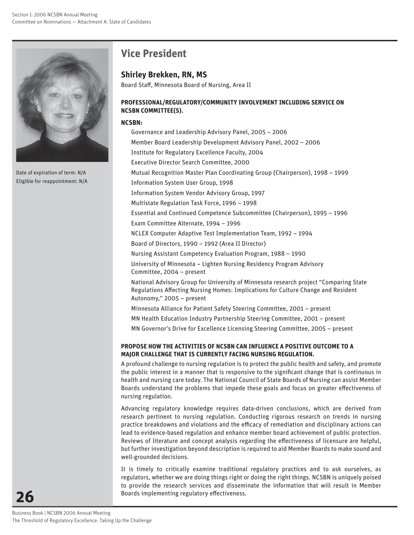

Date of expiration of term: N/A Eligible for reappointment: N/A

# **Vice President**

## **Shirley Brekken, RN, MS**

Board Staff, Minnesota Board of Nursing, Area II

## PROFESSIONAL/REGULATORY/COMMUNITY INVOLVEMENT INCLUDING SERVICE ON **NCSBN COMMITTEE(S).**

## $NCSBN:$

Governance and Leadership Advisory Panel, 2005 - 2006 Member Board Leadership Development Advisory Panel, 2002 - 2006 Institute for Regulatory Excellence Faculty, 2004 Executive Director Search Committee, 2000 Mutual Recognition Master Plan Coordinating Group (Chairperson), 1998 - 1999 Information System User Group, 1998 Information System Vendor Advisory Group, 1997 Multistate Regulation Task Force, 1996 - 1998 Essential and Continued Competence Subcommittee (Chairperson), 1995 - 1996 Exam Committee Alternate,  $1994 - 1996$ NCLEX Computer Adaptive Test Implementation Team,  $1992 - 1994$ Board of Directors, 1990 - 1992 (Area II Director) Nursing Assistant Competency Evaluation Program,  $1988 - 1990$ University of Minnesota - Lighten Nursing Residency Program Advisory Committee,  $2004$  – present National Advisory Group for University of Minnesota research project "Comparing State Regulations Affecting Nursing Homes: Implications for Culture Change and Resident Autonomy,"  $2005$  – present Minnesota Alliance for Patient Safety Steering Committee, 2001 - present MN Health Education Industry Partnership Steering Committee, 2001 - present

MN Governor's Drive for Excellence Licensing Steering Committee, 2005 - present

## **PROPOSE HOW THE ACTIVITIES OF NCSBN CAN INFLUENCE A POSITIVE OUTCOME TO A MAIOR CHALLENGE THAT IS CURRENTLY FACING NURSING REGULATION.**

A profound challenge to nursing regulation is to protect the public health and safety, and promote the public interest in a manner that is responsive to the significant change that is continuous in health and nursing care today. The National Council of State Boards of Nursing can assist Member Boards understand the problems that impede these goals and focus on greater effectiveness of nursing regulation.

Advancing regulatory knowledge requires data-driven conclusions, which are derived from research pertinent to nursing regulation. Conducting rigorous research on trends in nursing practice breakdowns and violations and the efficacy of remediation and disciplinary actions can lead to evidence-based regulation and enhance member board achievement of public protection. Reviews of literature and concept analysis regarding the effectiveness of licensure are helpful, but further investigation beyond description is required to aid Member Boards to make sound and well-grounded decisions.

It is timely to critically examine traditional regulatory practices and to ask ourselves, as regulators, whether we are doing things right or doing the right things. NCSBN is uniquely poised to provide the research services and disseminate the information that will result in Member Boards implementing regulatory effectiveness.

**!%**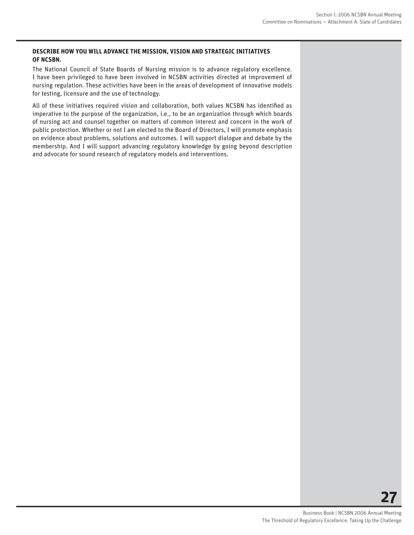## **DESCRIBE HOW YOU WILL ADVANCE THE MISSION, VISION AND STRATEGIC INITIATIVES OF NCSBN.**

The National Council of State Boards of Nursing mission is to advance regulatory excellence. I have been privileged to have been involved in NCSBN activities directed at improvement of nursing regulation. These activities have been in the areas of development of innovative models for testing, licensure and the use of technology.

All of these initiatives required vision and collaboration, both values NCSBN has identified as imperative to the purpose of the organization, i.e., to be an organization through which boards of nursing act and counsel together on matters of common interest and concern in the work of public protection. Whether or not I am elected to the Board of Directors, I will promote emphasis on evidence about problems, solutions and outcomes. I will support dialogue and debate by the membership. And I will support advancing regulatory knowledge by going beyond description and advocate for sound research of regulatory models and interventions.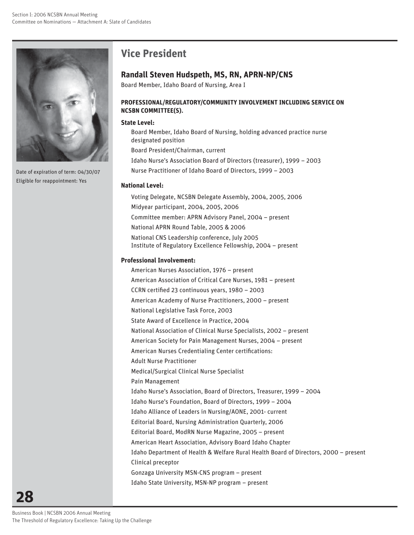

Date of expiration of term: 04/30/07 Eligible for reappointment: Yes

# **Vice President**

## **Randall Steven Hudspeth, MS, RN, APRN-NP/CNS**

Board Member, Idaho Board of Nursing, Area I

## PROFESSIONAL/REGULATORY/COMMUNITY INVOLVEMENT INCLUDING SERVICE ON **NCSBN COMMITTEE(S).**

## **State Level:**

Board Member, Idaho Board of Nursing, holding advanced practice nurse designated position Board President/Chairman, current Idaho Nurse's Association Board of Directors (treasurer), 1999 - 2003 Nurse Practitioner of Idaho Board of Directors,  $1999 - 2003$ 

## **National Level:**

Voting Delegate, NCSBN Delegate Assembly, 2004, 2005, 2006 Midyear participant, 2004, 2005, 2006 Committee member: APRN Advisory Panel, 2004 - present National APRN Round Table, 2005 & 2006 National CNS Leadership conference, July 2005 Institute of Regulatory Excellence Fellowship, 2004 - present

## **Professional Involvement:**

American Nurses Association, 1976 - present American Association of Critical Care Nurses, 1981 - present CCRN certified 23 continuous years, 1980 – 2003 American Academy of Nurse Practitioners, 2000 - present National Legislative Task Force, 2003 State Award of Excellence in Practice, 2004 National Association of Clinical Nurse Specialists, 2002 - present American Society for Pain Management Nurses, 2004 - present American Nurses Credentialing Center certifications: Adult Nurse Practitioner Medical/Surgical Clinical Nurse Specialist Pain Management Idaho Nurse's Association, Board of Directors, Treasurer, 1999 - 2004 Idaho Nurse's Foundation, Board of Directors, 1999 - 2004 Idaho Alliance of Leaders in Nursing/AONE, 2001- current Editorial Board, Nursing Administration Quarterly, 2006 Editorial Board, ModRN Nurse Magazine, 2005 - present American Heart Association, Advisory Board Idaho Chapter Idaho Department of Health & Welfare Rural Health Board of Directors, 2000 - present Clinical preceptor Gonzaga University MSN-CNS program - present Idaho State University, MSN-NP program - present

**28**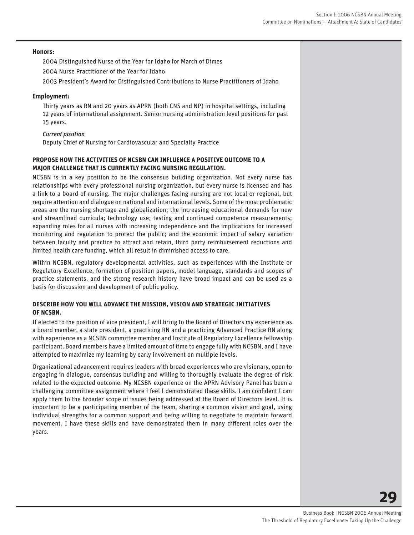#### **Honors:**

2004 Distinguished Nurse of the Year for Idaho for March of Dimes 2004 Nurse Practitioner of the Year for Idaho

2003 President's Award for Distinguished Contributions to Nurse Practitioners of Idaho

#### **Employment:**

Thirty years as RN and 20 years as APRN (both CNS and NP) in hospital settings, including 12 years of international assignment. Senior nursing administration level positions for past 15 years.

#### **Current position**

Deputy Chief of Nursing for Cardiovascular and Specialty Practice

## PROPOSE HOW THE ACTIVITIES OF NCSBN CAN INFLUENCE A POSITIVE OUTCOME TO A MAJOR CHALLENGE THAT IS CURRENTLY FACING NURSING REGULATION.

NCSBN is in a key position to be the consensus building organization. Not every nurse has relationships with every professional nursing organization, but every nurse is licensed and has a link to a board of nursing. The major challenges facing nursing are not local or regional, but require attention and dialogue on national and international levels. Some of the most problematic areas are the nursing shortage and globalization; the increasing educational demands for new and streamlined curricula; technology use; testing and continued competence measurements; expanding roles for all nurses with increasing independence and the implications for increased monitoring and regulation to protect the public; and the economic impact of salary variation between faculty and practice to attract and retain, third party reimbursement reductions and limited health care funding, which all result in diminished access to care.

Within NCSBN, regulatory developmental activities, such as experiences with the Institute or Regulatory Excellence, formation of position papers, model language, standards and scopes of practice statements, and the strong research history have broad impact and can be used as a basis for discussion and development of public policy.

## DESCRIBE HOW YOU WILL ADVANCE THE MISSION, VISION AND STRATEGIC INITIATIVES OF NCSBN.

If elected to the position of vice president, I will bring to the Board of Directors my experience as a board member, a state president, a practicing RN and a practicing Advanced Practice RN along with experience as a NCSBN committee member and Institute of Regulatory Excellence fellowship participant. Board members have a limited amount of time to engage fully with NCSBN, and I have attempted to maximize my learning by early involvement on multiple levels.

Organizational advancement requires leaders with broad experiences who are visionary, open to engaging in dialogue, consensus building and willing to thoroughly evaluate the degree of risk related to the expected outcome. My NCSBN experience on the APRN Advisory Panel has been a challenging committee assignment where I feel I demonstrated these skills. I am confident I can apply them to the broader scope of issues being addressed at the Board of Directors level. It is important to be a participating member of the team, sharing a common vision and goal, using individual strengths for a common support and being willing to negotiate to maintain forward movement. I have these skills and have demonstrated them in many different roles over the years.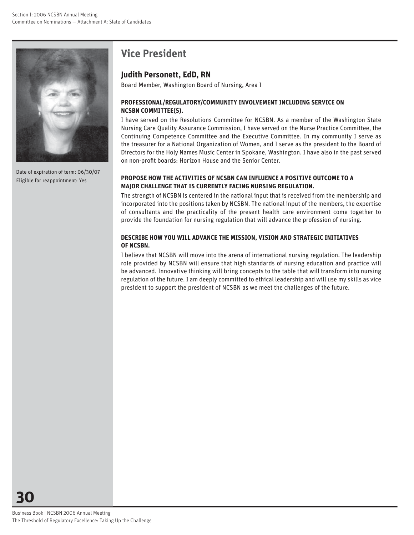

Date of expiration of term: 06/30/07 Eligible for reappointment: Yes

# **Vice President**

## **Judith Personett, EdD, RN**

Board Member, Washington Board of Nursing, Area I

## PROFESSIONAL/REGULATORY/COMMUNITY INVOLVEMENT INCLUDING SERVICE ON **NCSBN COMMITTEE(S).**

I have served on the Resolutions Committee for NCSBN. As a member of the Washington State Nursing Care Quality Assurance Commission, I have served on the Nurse Practice Committee, the Continuing Competence Committee and the Executive Committee. In my community I serve as the treasurer for a National Organization of Women, and I serve as the president to the Board of Directors for the Holy Names Music Center in Spokane, Washington. I have also in the past served on non-profit boards: Horizon House and the Senior Center.

## **PROPOSE HOW THE ACTIVITIES OF NCSBN CAN INFLUENCE A POSITIVE OUTCOME TO A** MAJOR CHALLENGE THAT IS CURRENTLY FACING NURSING REGULATION.

The strength of NCSBN is centered in the national input that is received from the membership and incorporated into the positions taken by NCSBN. The national input of the members, the expertise of consultants and the practicality of the present health care environment come together to provide the foundation for nursing regulation that will advance the profession of nursing.

## **DESCRIBE HOW YOU WILL ADVANCE THE MISSION, VISION AND STRATEGIC INITIATIVES OF NCSBN.**

I believe that NCSBN will move into the arena of international nursing regulation. The leadership role provided by NCSBN will ensure that high standards of nursing education and practice will be advanced. Innovative thinking will bring concepts to the table that will transform into nursing regulation of the future. I am deeply committed to ethical leadership and will use my skills as vice president to support the president of NCSBN as we meet the challenges of the future.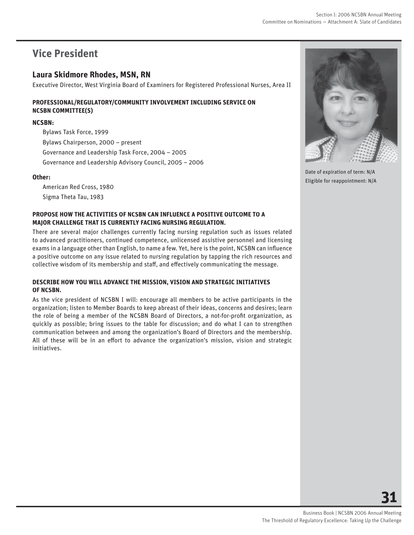# **Vice President**

## **Laura Skidmore Rhodes, MSN, RN**

Executive Director, West Virginia Board of Examiners for Registered Professional Nurses, Area II

## PROFESSIONAL/REGULATORY/COMMUNITY INVOLVEMENT INCLUDING SERVICE ON **NCSBN COMMITTEE(S)**

## $NCSBN:$

Bylaws Task Force, 1999 Bylaws Chairperson, 2000 - present Governance and Leadership Task Force, 2004 - 2005 Governance and Leadership Advisory Council, 2005 - 2006

## **Other:**

American Red Cross, 1980 Sigma Theta Tau, 1983

## **PROPOSE HOW THE ACTIVITIES OF NCSBN CAN INFLUENCE A POSITIVE OUTCOME TO A MAIOR CHALLENGE THAT IS CURRENTLY FACING NURSING REGULATION.**

There are several major challenges currently facing nursing regulation such as issues related to advanced practitioners, continued competence, unlicensed assistive personnel and licensing exams in a language other than English, to name a few. Yet, here is the point, NCSBN can influence a positive outcome on any issue related to nursing regulation by tapping the rich resources and collective wisdom of its membership and staff, and effectively communicating the message.

## **DESCRIBE HOW YOU WILL ADVANCE THE MISSION, VISION AND STRATEGIC INITIATIVES OF NCSBN.**

As the vice president of NCSBN I will: encourage all members to be active participants in the organization; listen to Member Boards to keep abreast of their ideas, concerns and desires; learn the role of being a member of the NCSBN Board of Directors, a not-for-profit organization, as quickly as possible; bring issues to the table for discussion; and do what I can to strengthen communication between and among the organization's Board of Directors and the membership. All of these will be in an effort to advance the organization's mission, vision and strategic initiatives.



Date of expiration of term: N/A Eligible for reappointment: N/A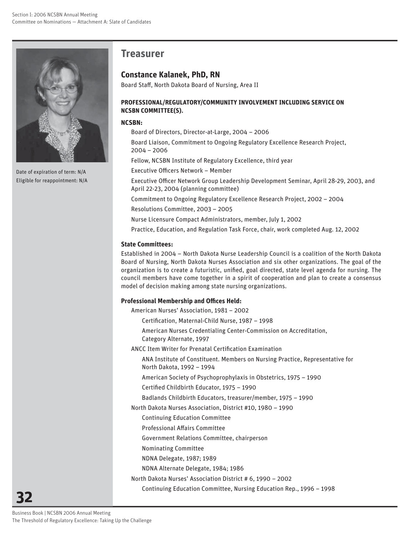

Date of expiration of term: N/A Eligible for reappointment:  $N/A$ 

# **Treasurer**

# **Constance Kalanek, PhD, RN**

Board Staff, North Dakota Board of Nursing, Area II

## PROFESSIONAL/REGULATORY/COMMUNITY INVOLVEMENT INCLUDING SERVICE ON **NCSBN COMMITTEE(S).**

## $NCSBN:$

Board of Directors, Director-at-Large,  $2004 - 2006$ Board Liaison, Commitment to Ongoing Regulatory Excellence Research Project,  $2004 - 2006$ Fellow, NCSBN Institute of Regulatory Excellence, third year Executive Officers Network - Member Executive Officer Network Group Leadership Development Seminar, April 28-29, 2003, and April 22-23, 2004 (planning committee) Commitment to Ongoing Regulatory Excellence Research Project, 2002 - 2004 Resolutions Committee,  $2003 - 2005$ Nurse Licensure Compact Administrators, member, July 1, 2002 Practice, Education, and Regulation Task Force, chair, work completed Aug. 12, 2002

## **State Committees:**

Established in 2004 - North Dakota Nurse Leadership Council is a coalition of the North Dakota Board of Nursing, North Dakota Nurses Association and six other organizations. The goal of the organization is to create a futuristic, unified, goal directed, state level agenda for nursing. The council members have come together in a spirit of cooperation and plan to create a consensus model of decision making among state nursing organizations.

## **Professional Membership and Offices Held:**

American Nurses' Association, 1981 - 2002

Certification, Maternal-Child Nurse, 1987 – 1998

American Nurses Credentialing Center-Commission on Accreditation,

Category Alternate, 1997

ANCC Item Writer for Prenatal Certification Examination

ANA Institute of Constituent. Members on Nursing Practice, Representative for North Dakota, 1992 - 1994

American Society of Psychoprophylaxis in Obstetrics, 1975 - 1990

Certified Childbirth Educator, 1975 – 1990

Badlands Childbirth Educators, treasurer/member, 1975 - 1990

North Dakota Nurses Association, District #10, 1980 - 1990

Continuing Education Committee

Professional Affairs Committee

Government Relations Committee, chairperson

Nominating Committee

NDNA Delegate, 1987; 1989

NDNA Alternate Delegate, 1984; 1986

North Dakota Nurses' Association District # 6, 1990 - 2002

Continuing Education Committee, Nursing Education Rep., 1996 - 1998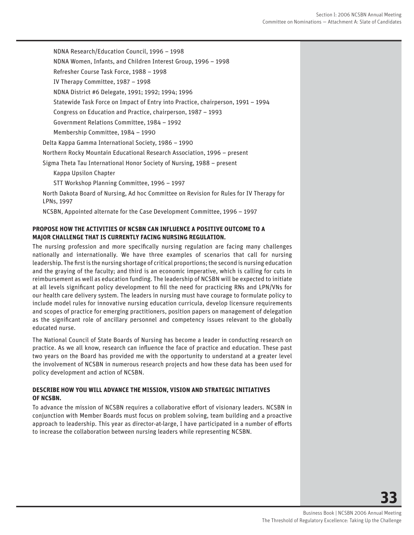NDNA Research/Education Council, 1996 - 1998 NDNA Women, Infants, and Children Interest Group, 1996 - 1998 Refresher Course Task Force, 1988 - 1998 IV Therapy Committee,  $1987 - 1998$ NDNA District #6 Delegate, 1991; 1992; 1994; 1996 Statewide Task Force on Impact of Entry into Practice, chairperson, 1991 - 1994 Congress on Education and Practice, chairperson, 1987 - 1993 Government Relations Committee,  $1984 - 1992$ Membership Committee,  $1984 - 1990$ Delta Kappa Gamma International Society, 1986 - 1990 Northern Rocky Mountain Educational Research Association, 1996 - present Sigma Theta Tau International Honor Society of Nursing, 1988 - present Kappa Upsilon Chapter STT Workshop Planning Committee, 1996 - 1997 North Dakota Board of Nursing, Ad hoc Committee on Revision for Rules for IV Therapy for LPNs, 1997 NCSBN, Appointed alternate for the Case Development Committee, 1996 - 1997

## **PROPOSE HOW THE ACTIVITIES OF NCSBN CAN INFLUENCE A POSITIVE OUTCOME TO A MAJOR CHALLENGE THAT IS CURRENTLY FACING NURSING REGULATION.**

The nursing profession and more specifically nursing regulation are facing many challenges nationally and internationally. We have three examples of scenarios that call for nursing leadership. The first is the nursing shortage of critical proportions; the second is nursing education and the graving of the faculty; and third is an economic imperative, which is calling for cuts in reimbursement as well as education funding. The leadership of NCSBN will be expected to initiate at all levels significant policy development to fill the need for practicing RNs and LPN/VNs for our health care delivery system. The leaders in nursing must have courage to formulate policy to include model rules for innovative nursing education curricula, develop licensure requirements and scopes of practice for emerging practitioners, position papers on management of delegation as the significant role of ancillary personnel and competency issues relevant to the globally educated nurse.

The National Council of State Boards of Nursing has become a leader in conducting research on practice. As we all know, research can influence the face of practice and education. These past two years on the Board has provided me with the opportunity to understand at a greater level the involvement of NCSBN in numerous research projects and how these data has been used for policy development and action of NCSBN.

## **DESCRIBE HOW YOU WILL ADVANCE THE MISSION, VISION AND STRATEGIC INITIATIVES OF NCSBN.**

To advance the mission of NCSBN requires a collaborative effort of visionary leaders. NCSBN in conjunction with Member Boards must focus on problem solving, team building and a proactive approach to leadership. This year as director-at-large, I have participated in a number of efforts to increase the collaboration between nursing leaders while representing NCSBN.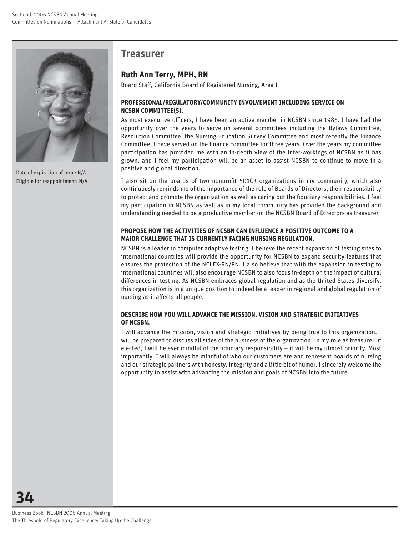

Date of expiration of term: N/A Eligible for reappointment: N/A

# **Treasurer**

# **Ruth Ann Terry, MPH, RN**

Board Staff, California Board of Registered Nursing, Area I

## PROFESSIONAL/REGULATORY/COMMUNITY INVOLVEMENT INCLUDING SERVICE ON **NCSBN COMMITTEE(S).**

As most executive officers, I have been an active member in NCSBN since 1985. I have had the opportunity over the years to serve on several committees including the Bylaws Committee, Resolution Committee, the Nursing Education Survey Committee and most recently the Finance Committee. I have served on the finance committee for three years. Over the years my committee participation has provided me with an in-depth view of the inter-workings of NCSBN as it has grown, and I feel my participation will be an asset to assist NCSBN to continue to move in a positive and global direction.

I also sit on the boards of two nonprofit 501C3 organizations in my community, which also continuously reminds me of the importance of the role of Boards of Directors, their responsibility to protect and promote the organization as well as caring out the fiduciary responsibilities. I feel my participation in NCSBN as well as in my local community has provided the background and understanding needed to be a productive member on the NCSBN Board of Directors as treasurer.

## **PROPOSE HOW THE ACTIVITIES OF NCSBN CAN INFLUENCE A POSITIVE OUTCOME TO A MAIOR CHALLENGE THAT IS CURRENTLY FACING NURSING REGULATION.**

NCSBN is a leader in computer adaptive testing, I believe the recent expansion of testing sites to international countries will provide the opportunity for NCSBN to expand security features that ensures the protection of the NCLEX-RN/PN. I also believe that with the expansion in testing to international countries will also encourage NCSBN to also focus in-depth on the impact of cultural differences in testing. As NCSBN embraces global regulation and as the United States diversify, this organization is in a unique position to indeed be a leader in regional and global regulation of nursing as it affects all people.

## **DESCRIBE HOW YOU WILL ADVANCE THE MISSION, VISION AND STRATEGIC INITIATIVES OF NCSBN.**

I will advance the mission, vision and strategic initiatives by being true to this organization. I will be prepared to discuss all sides of the business of the organization. In my role as treasurer, if elected, I will be ever mindful of the fiduciary responsibility – it will be my utmost priority. Most importantly, I will always be mindful of who our customers are and represent boards of nursing and our strategic partners with honesty, integrity and a little bit of humor. I sincerely welcome the opportunity to assist with advancing the mission and goals of NCSBN into the future.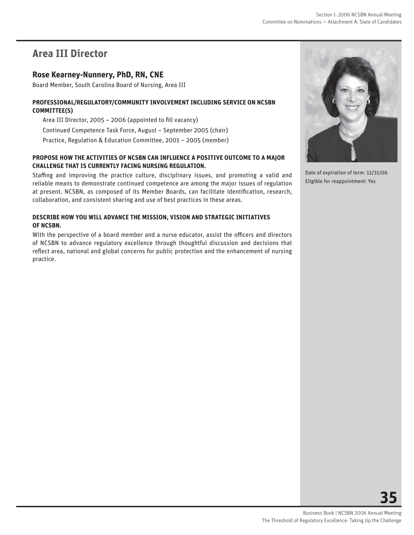# **Area III Director**

## Rose Kearney-Nunnery, PhD, RN, CNE

Board Member, South Carolina Board of Nursing, Area III

## PROFESSIONAL/REGULATORY/COMMUNITY INVOLVEMENT INCLUDING SERVICE ON NCSBN COMMITTEE(S)

Area III Director, 2005 - 2006 (appointed to fill vacancy) Continued Competence Task Force, August - September 2005 (chair) Practice, Regulation & Education Committee, 2001 - 2005 (member)

#### PROPOSE HOW THE ACTIVITIES OF NCSBN CAN INFLUENCE A POSITIVE OUTCOME TO A MAJOR **CHALLENGE THAT IS CURRENTLY FACING NURSING REGULATION.**

Staffing and improving the practice culture, disciplinary issues, and promoting a valid and reliable means to demonstrate continued competence are among the major issues of regulation at present. NCSBN, as composed of its Member Boards, can facilitate identification, research, collaboration, and consistent sharing and use of best practices in these areas.

## DESCRIBE HOW YOU WILL ADVANCE THE MISSION, VISION AND STRATEGIC INITIATIVES OF NCSBN.

With the perspective of a board member and a nurse educator, assist the officers and directors of NCSBN to advance regulatory excellence through thoughtful discussion and decisions that reflect area, national and global concerns for public protection and the enhancement of nursing practice.



Date of expiration of term: 12/31/06 Eligible for reappointment: Yes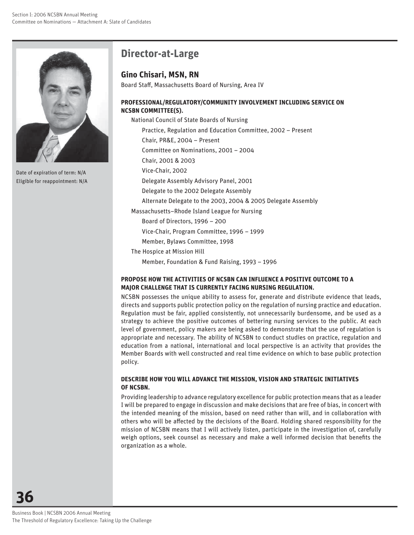

Date of expiration of term: N/A Eligible for reappointment: N/A

# **Gino Chisari, MSN, RN**

Board Staff, Massachusetts Board of Nursing, Area IV

## PROFESSIONAL/REGULATORY/COMMUNITY INVOLVEMENT INCLUDING SERVICE ON **NCSBN COMMITTEE(S).**

National Council of State Boards of Nursing Practice, Regulation and Education Committee, 2002 - Present Chair, PR&E, 2004 - Present Committee on Nominations, 2001 - 2004 Chair, 2001 & 2003 Vice-Chair, 2002 Delegate Assembly Advisory Panel, 2001 Delegate to the 2002 Delegate Assembly Alternate Delegate to the 2003, 2004 & 2005 Delegate Assembly Massachusetts-Rhode Island League for Nursing Board of Directors, 1996 - 200 Vice-Chair, Program Committee, 1996 - 1999 Member, Bylaws Committee, 1998 The Hospice at Mission Hill

Member, Foundation & Fund Raising, 1993 - 1996

## PROPOSE HOW THE ACTIVITIES OF NCSBN CAN INFLUENCE A POSITIVE OUTCOME TO A **MAIOR CHALLENGE THAT IS CURRENTLY FACING NURSING REGULATION.**

NCSBN possesses the unique ability to assess for, generate and distribute evidence that leads, directs and supports public protection policy on the regulation of nursing practice and education. Regulation must be fair, applied consistently, not unnecessarily burdensome, and be used as a strategy to achieve the positive outcomes of bettering nursing services to the public. At each level of government, policy makers are being asked to demonstrate that the use of regulation is appropriate and necessary. The ability of NCSBN to conduct studies on practice, regulation and education from a national, international and local perspective is an activity that provides the Member Boards with well constructed and real time evidence on which to base public protection policy.

## DESCRIBE HOW YOU WILL ADVANCE THE MISSION, VISION AND STRATEGIC INITIATIVES OF NCSBN.

Providing leadership to advance regulatory excellence for public protection means that as a leader I will be prepared to engage in discussion and make decisions that are free of bias, in concert with the intended meaning of the mission, based on need rather than will, and in collaboration with others who will be affected by the decisions of the Board. Holding shared responsibility for the mission of NCSBN means that I will actively listen, participate in the investigation of, carefully weigh options, seek counsel as necessary and make a well informed decision that benefits the organization as a whole.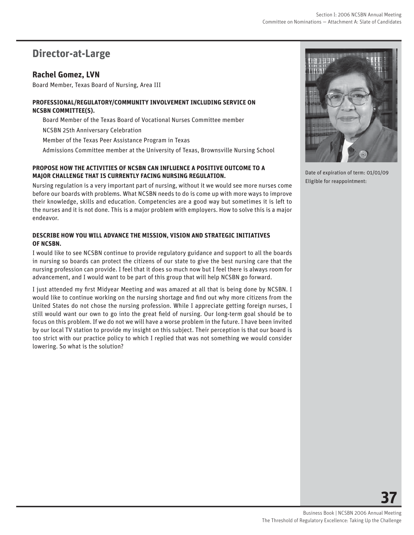## **Rachel Gomez, LVN**

Board Member, Texas Board of Nursing, Area III

## PROFESSIONAL/REGULATORY/COMMUNITY INVOLVEMENT INCLUDING SERVICE ON **NCSBN COMMITTEE(S).**

Board Member of the Texas Board of Vocational Nurses Committee member

NCSBN 25th Anniversary Celebration

Member of the Texas Peer Assistance Program in Texas

Admissions Committee member at the University of Texas, Brownsville Nursing School

## PROPOSE HOW THE ACTIVITIES OF NCSBN CAN INFLUENCE A POSITIVE OUTCOME TO A MAIOR CHALLENGE THAT IS CURRENTLY FACING NURSING REGULATION.

Nursing regulation is a very important part of nursing, without it we would see more nurses come before our boards with problems. What NCSBN needs to do is come up with more ways to improve their knowledge, skills and education. Competencies are a good way but sometimes it is left to the nurses and it is not done. This is a major problem with employers. How to solve this is a major endeavor.

## **DESCRIBE HOW YOU WILL ADVANCE THE MISSION. VISION AND STRATEGIC INITIATIVES OF NCSBN.**

I would like to see NCSBN continue to provide regulatory guidance and support to all the boards in nursing so boards can protect the citizens of our state to give the best nursing care that the nursing profession can provide. I feel that it does so much now but I feel there is always room for advancement, and I would want to be part of this group that will help NCSBN go forward.

I just attended my first Midyear Meeting and was amazed at all that is being done by NCSBN. I would like to continue working on the nursing shortage and find out why more citizens from the United States do not chose the nursing profession. While I appreciate getting foreign nurses, I still would want our own to go into the great field of nursing. Our long-term goal should be to focus on this problem. If we do not we will have a worse problem in the future. I have been invited by our local TV station to provide my insight on this subject. Their perception is that our board is too strict with our practice policy to which I replied that was not something we would consider lowering. So what is the solution?



Date of expiration of term:  $01/01/09$ Eligible for reappointment: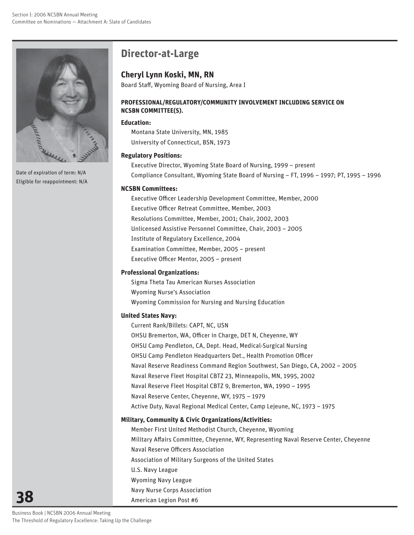

Date of expiration of term: N/A Eligible for reappointment: N/A

## **Cheryl Lynn Koski, MN, RN**

Board Staff, Wyoming Board of Nursing, Area I

## PROFESSIONAL/REGULATORY/COMMUNITY INVOLVEMENT INCLUDING SERVICE ON **NCSBN COMMITTEE(S).**

## **Education:**

Montana State University, MN, 1985 University of Connecticut, BSN, 1973

## **Regulatory Positions:**

Executive Director, Wyoming State Board of Nursing, 1999 - present Compliance Consultant, Wyoming State Board of Nursing - FT, 1996 - 1997; PT, 1995 - 1996

## **NCSBN Committees:**

Executive Officer Leadership Development Committee, Member, 2000 Executive Officer Retreat Committee, Member, 2003 Resolutions Committee, Member, 2001; Chair, 2002, 2003 Unlicensed Assistive Personnel Committee, Chair, 2003 - 2005 Institute of Regulatory Excellence, 2004 Examination Committee, Member, 2005 - present Executive Officer Mentor, 2005 - present

## **Professional Organizations:**

Sigma Theta Tau American Nurses Association **Wyoming Nurse's Association** Wyoming Commission for Nursing and Nursing Education

## **United States Navy:**

Current Rank/Billets: CAPT, NC, USN OHSU Bremerton, WA, Officer in Charge, DET N, Cheyenne, WY OHSU Camp Pendleton, CA, Dept. Head, Medical-Surgical Nursing OHSU Camp Pendleton Headquarters Det., Health Promotion Officer Naval Reserve Readiness Command Region Southwest, San Diego, CA, 2002 - 2005 Naval Reserve Fleet Hospital CBTZ 23, Minneapolis, MN, 1995, 2002 Naval Reserve Fleet Hospital CBTZ 9, Bremerton, WA, 1990 - 1995 Naval Reserve Center, Cheyenne, WY, 1975 - 1979 Active Duty, Naval Regional Medical Center, Camp Lejeune, NC, 1973 - 1975

## Military, Community & Civic Organizations/Activities:

Member First United Methodist Church, Cheyenne, Wyoming Military Affairs Committee, Cheyenne, WY, Representing Naval Reserve Center, Cheyenne Naval Reserve Officers Association Association of Military Surgeons of the United States U.S. Navy League **Wyoming Navy League** Navy Nurse Corps Association American Legion Post #6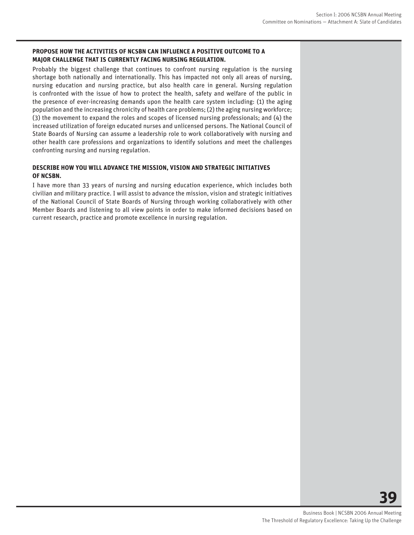## PROPOSE HOW THE ACTIVITIES OF NCSBN CAN INFLUENCE A POSITIVE OUTCOME TO A MAJOR CHALLENGE THAT IS CURRENTLY FACING NURSING REGULATION.

Probably the biggest challenge that continues to confront nursing regulation is the nursing shortage both nationally and internationally. This has impacted not only all areas of nursing, nursing education and nursing practice, but also health care in general. Nursing regulation is confronted with the issue of how to protect the health, safety and welfare of the public in the presence of ever-increasing demands upon the health care system including: (1) the aging population and the increasing chronicity of health care problems; (2) the aging nursing workforce; (3) the movement to expand the roles and scopes of licensed nursing professionals; and (4) the increased utilization of foreign educated nurses and unlicensed persons. The National Council of State Boards of Nursing can assume a leadership role to work collaboratively with nursing and other health care professions and organizations to identify solutions and meet the challenges confronting nursing and nursing regulation.

## DESCRIBE HOW YOU WILL ADVANCE THE MISSION, VISION AND STRATEGIC INITIATIVES OF NCSBN.

I have more than 33 years of nursing and nursing education experience, which includes both civilian and military practice. I will assist to advance the mission, vision and strategic initiatives of the National Council of State Boards of Nursing through working collaboratively with other Member Boards and listening to all view points in order to make informed decisions based on current research, practice and promote excellence in nursing regulation.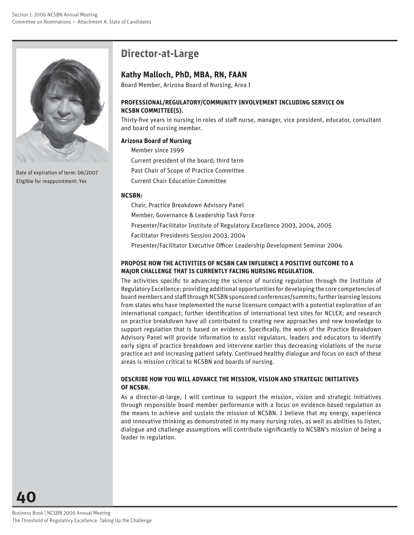

Date of expiration of term: 06/2007 Eligible for reappointment: Yes

## **Kathy Malloch, PhD, MBA, RN, FAAN**

Board Member, Arizona Board of Nursing, Area I

## PROFESSIONAL/REGULATORY/COMMUNITY INVOLVEMENT INCLUDING SERVICE ON **NCSBN COMMITTEE(S).**

Thirty-five years in nursing in roles of staff nurse, manager, vice president, educator, consultant and board of nursing member.

## **Arizona Board of Nursing**

Member since 1999 Current president of the board; third term Past Chair of Scope of Practice Committee Current Chair Education Committee

## **NCSBN:**

Chair, Practice Breakdown Advisory Panel Member, Governance & Leadership Task Force Presenter/Facilitator Institute of Regulatory Excellence 2003, 2004, 2005 Facilitator Presidents Session 2003, 2004 Presenter/Facilitator Executive Officer Leadership Development Seminar 2004

## **PROPOSE HOW THE ACTIVITIES OF NCSBN CAN INFLUENCE A POSITIVE OUTCOME TO A** MAJOR CHALLENGE THAT IS CURRENTLY FACING NURSING REGULATION.

The activities specific to advancing the science of nursing regulation through the Institute of Regulatory Excellence; providing additional opportunities for developing the core competencies of board members and staff through NCSBN sponsored conferences/summits; further learning lessons from states who have implemented the nurse licensure compact with a potential exploration of an international compact; further identification of international test sites for NCLEX; and research on practice breakdown have all contributed to creating new approaches and new knowledge to support regulation that is based on evidence. Specifically, the work of the Practice Breakdown Advisory Panel will provide information to assist regulators, leaders and educators to identify early signs of practice breakdown and intervene earlier thus decreasing violations of the nurse practice act and increasing patient safety. Continued healthy dialogue and focus on each of these areas is mission critical to NCSBN and boards of nursing.

## **DESCRIBE HOW YOU WILL ADVANCE THE MISSION, VISION AND STRATEGIC INITIATIVES OF NCSBN.**

As a director-at-large, I will continue to support the mission, vision and strategic initiatives through responsible board member performance with a focus on evidence-based regulation as the means to achieve and sustain the mission of NCSBN. I believe that my energy, experience and innovative thinking as demonstrated in my many nursing roles, as well as abilities to listen, dialogue and challenge assumptions will contribute significantly to NCSBN's mission of being a leader in regulation.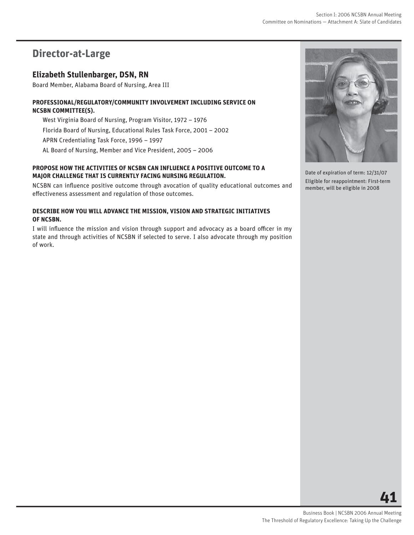## **Elizabeth Stullenbarger, DSN, RN**

Board Member, Alabama Board of Nursing, Area III

## PROFESSIONAL/REGULATORY/COMMUNITY INVOLVEMENT INCLUDING SERVICE ON **NCSBN COMMITTEE(S).**

West Virginia Board of Nursing, Program Visitor, 1972 - 1976 Florida Board of Nursing, Educational Rules Task Force, 2001 - 2002 APRN Credentialing Task Force, 1996 - 1997 AL Board of Nursing, Member and Vice President, 2005 - 2006

## PROPOSE HOW THE ACTIVITIES OF NCSBN CAN INFLUENCE A POSITIVE OUTCOME TO A MAJOR CHALLENGE THAT IS CURRENTLY FACING NURSING REGULATION.

NCSBN can influence positive outcome through avocation of quality educational outcomes and effectiveness assessment and regulation of those outcomes.

## **DESCRIBE HOW YOU WILL ADVANCE THE MISSION, VISION AND STRATEGIC INITIATIVES OF NCSBN.**

I will influence the mission and vision through support and advocacy as a board officer in my state and through activities of NCSBN if selected to serve. I also advocate through my position of work.



Date of expiration of term:  $12/31/07$ Eligible for reappointment: First-term member, will be eligible in 2008

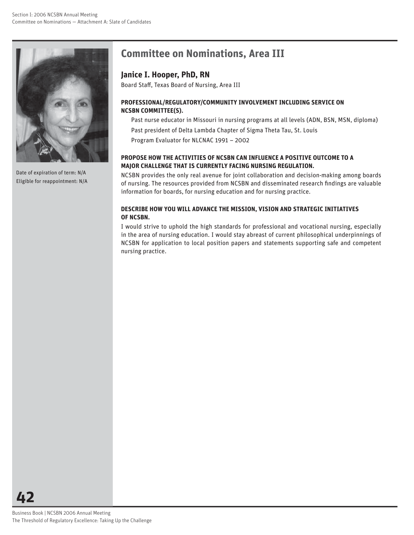

Date of expiration of term: N/A Eligible for reappointment: N/A

# **Committee on Nominations, Area III**

## **Janice I. Hooper, PhD, RN**

Board Staff, Texas Board of Nursing, Area III

## PROFESSIONAL/REGULATORY/COMMUNITY INVOLVEMENT INCLUDING SERVICE ON **NCSBN COMMITTEE(S).**

Past nurse educator in Missouri in nursing programs at all levels (ADN, BSN, MSN, diploma) Past president of Delta Lambda Chapter of Sigma Theta Tau, St. Louis Program Evaluator for NLCNAC 1991 - 2002

#### **PROPOSE HOW THE ACTIVITIES OF NCSBN CAN INFLUENCE A POSITIVE OUTCOME TO A MAIOR CHALLENGE THAT IS CURRENTLY FACING NURSING REGULATION.**

NCSBN provides the only real avenue for joint collaboration and decision-making among boards of nursing. The resources provided from NCSBN and disseminated research findings are valuable information for boards, for nursing education and for nursing practice.

## **DESCRIBE HOW YOU WILL ADVANCE THE MISSION, VISION AND STRATEGIC INITIATIVES OF NCSBN.**

I would strive to uphold the high standards for professional and vocational nursing, especially in the area of nursing education. I would stay abreast of current philosophical underpinnings of NCSBN for application to local position papers and statements supporting safe and competent nursing practice.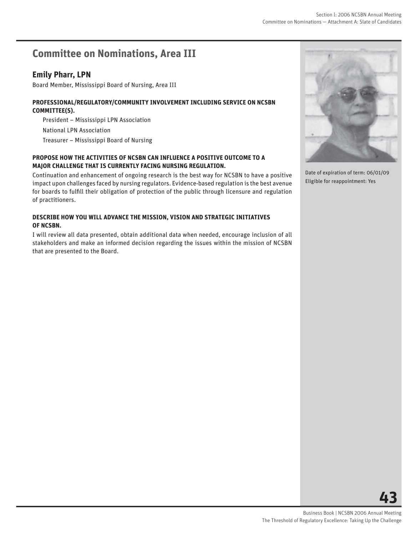# **Committee on Nominations, Area III**

## **Emily Pharr, LPN**

Board Member, Mississippi Board of Nursing, Area III

## PROFESSIONAL/REGULATORY/COMMUNITY INVOLVEMENT INCLUDING SERVICE ON NCSBN **COMMITTEE(S).**

President - Mississippi LPN Association National LPN Association Treasurer - Mississippi Board of Nursing

#### **PROPOSE HOW THE ACTIVITIES OF NCSBN CAN INFLUENCE A POSITIVE OUTCOME TO A** MAIOR CHALLENGE THAT IS CURRENTLY FACING NURSING REGULATION.

Continuation and enhancement of ongoing research is the best way for NCSBN to have a positive impact upon challenges faced by nursing regulators. Evidence-based regulation is the best avenue for boards to fulfill their obligation of protection of the public through licensure and regulation of practitioners.

## **DESCRIBE HOW YOU WILL ADVANCE THE MISSION, VISION AND STRATEGIC INITIATIVES OF NCSBN.**

I will review all data presented, obtain additional data when needed, encourage inclusion of all stakeholders and make an informed decision regarding the issues within the mission of NCSBN that are presented to the Board.



Date of expiration of term: 06/01/09 Eligible for reappointment: Yes

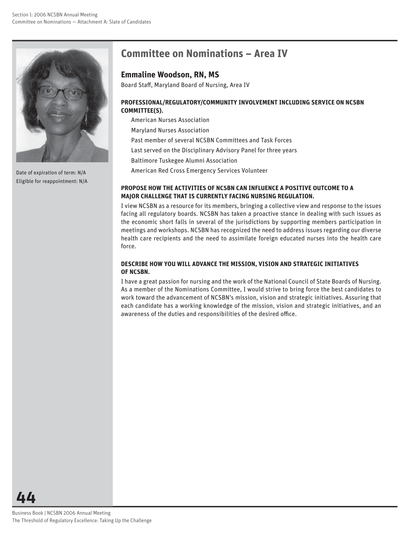

Date of expiration of term: N/A Eligible for reappointment: N/A

# **Committee on Nominations - Area IV**

## **Emmaline Woodson, RN, MS**

Board Staff, Maryland Board of Nursing, Area IV

## PROFESSIONAL/REGULATORY/COMMUNITY INVOLVEMENT INCLUDING SERVICE ON NCSBN **COMMITTEE(S).**

American Nurses Association Maryland Nurses Association Past member of several NCSBN Committees and Task Forces Last served on the Disciplinary Advisory Panel for three years Baltimore Tuskegee Alumni Association American Red Cross Emergency Services Volunteer

## **PROPOSE HOW THE ACTIVITIES OF NCSBN CAN INFLUENCE A POSITIVE OUTCOME TO A** MAJOR CHALLENGE THAT IS CURRENTLY FACING NURSING REGULATION.

I view NCSBN as a resource for its members, bringing a collective view and response to the issues facing all regulatory boards. NCSBN has taken a proactive stance in dealing with such issues as the economic short falls in several of the jurisdictions by supporting members participation in meetings and workshops. NCSBN has recognized the need to address issues regarding our diverse health care recipients and the need to assimilate foreign educated nurses into the health care force.

## **DESCRIBE HOW YOU WILL ADVANCE THE MISSION, VISION AND STRATEGIC INITIATIVES OF NCSBN.**

I have a great passion for nursing and the work of the National Council of State Boards of Nursing. As a member of the Nominations Committee, I would strive to bring force the best candidates to work toward the advancement of NCSBN's mission, vision and strategic initiatives. Assuring that each candidate has a working knowledge of the mission, vision and strategic initiatives, and an awareness of the duties and responsibilities of the desired office.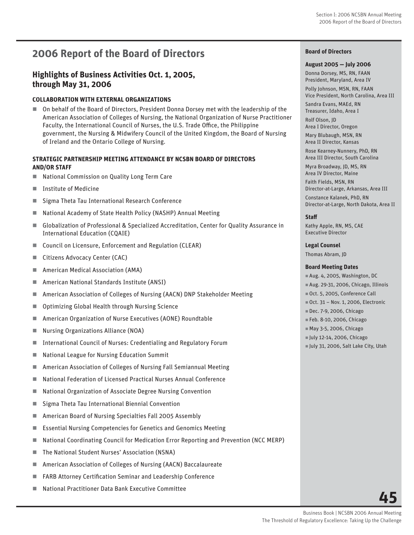# <span id="page-41-0"></span>**2006 Report of the Board of Directors**

## Highlights of Business Activities Oct. 1, 2005, through May 31, 2006

#### **COLLABORATION WITH EXTERNAL ORGANIZATIONS**

■ On behalf of the Board of Directors, President Donna Dorsey met with the leadership of the American Association of Colleges of Nursing, the National Organization of Nurse Practitioner Faculty, the International Council of Nurses, the U.S. Trade Office, the Philippine government, the Nursing & Midwifery Council of the United Kingdom, the Board of Nursing of Ireland and the Ontario College of Nursing.

#### STRATEGIC PARTNERSHIP MEETING ATTENDANCE BY NCSBN BOARD OF DIRECTORS **AND/OR STAFF**

- $\mathcal{L}_{\mathcal{A}}$ National Commission on Quality Long Term Care
- Institute of Medicine
- Sigma Theta Tau International Research Conference a.
- National Academy of State Health Policy (NASHP) Annual Meeting a.
- Globalization of Professional & Specialized Accreditation, Center for Quality Assurance in **College International Education (CQAIE)**
- Council on Licensure, Enforcement and Regulation (CLEAR)
- Citizens Advocacy Center (CAC) a a
- American Medical Association (AMA) **College**
- American National Standards Institute (ANSI) **College**
- American Association of Colleges of Nursing (AACN) DNP Stakeholder Meeting  $\mathcal{L}_{\mathcal{A}}$
- Optimizing Global Health through Nursing Science m.
- $\mathcal{L}_{\mathcal{A}}$ American Organization of Nurse Executives (AONE) Roundtable
- Nursing Organizations Alliance (NOA)  $\mathcal{L}_{\mathcal{A}}$
- International Council of Nurses: Credentialing and Regulatory Forum m.
- National League for Nursing Education Summit a a
- American Association of Colleges of Nursing Fall Semiannual Meeting
- a. National Federation of Licensed Practical Nurses Annual Conference
- National Organization of Associate Degree Nursing Convention m.
- Sigma Theta Tau International Biennial Convention  $\mathcal{L}_{\mathcal{A}}$
- American Board of Nursing Specialties Fall 2005 Assembly m.
- **Essential Nursing Competencies for Genetics and Genomics Meeting** m.
- National Coordinating Council for Medication Error Reporting and Prevention (NCC MERP) **College**
- The National Student Nurses' Association (NSNA)
- American Association of Colleges of Nursing (AACN) Baccalaureate **College**
- **FARB Attorney Certification Seminar and Leadership Conference** n.
- National Practitioner Data Bank Executive Committee

#### **Board of Directors**

#### August 2005 - July 2006

Donna Dorsey, MS, RN, FAAN President, Maryland, Area IV Polly Johnson, MSN, RN, FAAN Vice President, North Carolina, Area III

Sandra Evans, MAEd, RN Treasurer, Idaho, Area I

Rolf Olson, JD Area I Director, Oregon

Mary Blubaugh, MSN, RN Area II Director, Kansas

Rose Kearney-Nunnery, PhD, RN Area III Director, South Carolina

Myra Broadway, JD, MS, RN Area IV Director, Maine

Faith Fields, MSN, RN Director-at-Large, Arkansas, Area III

Constance Kalanek, PhD, RN Director-at-Large, North Dakota, Area II

#### Staff

Kathy Apple, RN, MS, CAE **Executive Director** 

## **Legal Counsel**

Thomas Abram, JD

#### **Board Meeting Dates**

- Aug. 4, 2005, Washington, DC
- Aug. 29-31, 2006, Chicago, Illinois
- Oct. 5, 2005, Conference Call
- Oct. 31 Nov. 1, 2006, Electronic
- Dec. 7-9, 2006, Chicago
- Feb. 8-10, 2006, Chicago
- May 3-5, 2006, Chicago
- I July 12-14, 2006, Chicago
- Iuly 31, 2006, Salt Lake City, Utah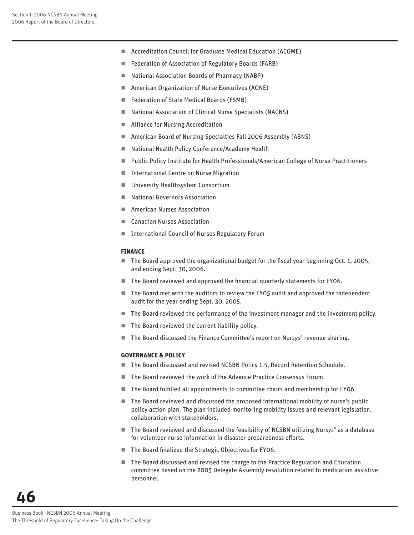- Accreditation Council for Graduate Medical Education (ACGME)
- Federation of Association of Regulatory Boards (FARB)
- National Association Boards of Pharmacy (NABP)
- American Organization of Nurse Executives (AONE)
- Federation of State Medical Boards (FSMB)
- National Association of Clinical Nurse Specialists (NACNS)
- $\blacksquare$  Alliance for Nursing Accreditation
- American Board of Nursing Specialties Fall 2006 Assembly (ABNS)
- National Health Policy Conference/Academy Health
- $\blacksquare$  Public Policy Institute for Health Professionals/American College of Nurse Practitioners
- $\blacksquare$  International Centre on Nurse Migration
- $\blacksquare$  University Healthsystem Consortium
- National Governors Association
- American Nurses Association
- Canadian Nurses Association
- **E** International Council of Nurses Regulatory Forum

#### **FINANCE**

- $\blacksquare$  The Board approved the organizational budget for the fiscal year beginning Oct. 1, 2005, and ending Sept. 30, 2006.
- $\blacksquare$  The Board reviewed and approved the financial quarterly statements for FYO6.
- $\blacksquare$  The Board met with the auditors to review the FYO5 audit and approved the independent audit for the year ending Sept. 30, 2005.
- $\blacksquare$  The Board reviewed the performance of the investment manager and the investment policy.
- $\blacksquare$  The Board reviewed the current liability policy.
- The Board discussed the Finance Committee's report on Nursys® revenue sharing.

#### **GOVERNANCE & POLICY**

- $\blacksquare$  The Board discussed and revised NCSBN Policy 1.5, Record Retention Schedule.
- $\blacksquare$  The Board reviewed the work of the Advance Practice Consensus Forum.
- $\blacksquare$  The Board fulfilled all appointments to committee chairs and membership for FYO6.
- $\blacksquare$  The Board reviewed and discussed the proposed international mobility of nurse's public policy action plan. The plan included monitoring mobility issues and relevant legislation, collaboration with stakeholders.
- The Board reviewed and discussed the feasibility of NCSBN utilizing Nurs*ys*® as a database for volunteer nurse information in disaster preparedness efforts.
- The Board finalized the Strategic Objectives for FYO6.
- $\blacksquare$  The Board discussed and revised the charge to the Practice Regulation and Education committee based on the 2005 Delegate Assembly resolution related to medication assistive personnel.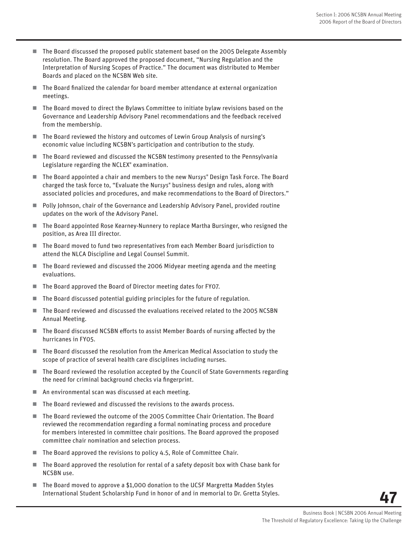- $\blacksquare$  The Board discussed the proposed public statement based on the 2005 Delegate Assembly resolution. The Board approved the proposed document, "Nursing Regulation and the Interpretation of Nursing Scopes of Practice." The document was distributed to Member Boards and placed on the NCSBN Web site.
- $\blacksquare$  The Board finalized the calendar for board member attendance at external organization meetings.
- $\blacksquare$  The Board moved to direct the Bylaws Committee to initiate bylaw revisions based on the Governance and Leadership Advisory Panel recommendations and the feedback received from the membership.
- The Board reviewed the history and outcomes of Lewin Group Analysis of nursing's economic value including NCSBN's participation and contribution to the study.
- $\blacksquare$  The Board reviewed and discussed the NCSBN testimony presented to the Pennsylvania Legislature regarding the NCLEX $\textdegree$  examination.
- The Board appointed a chair and members to the new Nursys® Design Task Force. The Board charged the task force to, "Evaluate the Nurs*ys*® business design and rules, along with associated policies and procedures, and make recommendations to the Board of Directors."
- $\blacksquare$  Polly Johnson, chair of the Governance and Leadership Advisory Panel, provided routine updates on the work of the Advisory Panel.
- The Board appointed Rose Kearney-Nunnery to replace Martha Bursinger, who resigned the position, as Area III director.
- $\blacksquare$  The Board moved to fund two representatives from each Member Board jurisdiction to attend the NLCA Discipline and Legal Counsel Summit.
- $\blacksquare$  The Board reviewed and discussed the 2006 Midyear meeting agenda and the meeting evaluations.
- The Board approved the Board of Director meeting dates for FYO7.
- $\blacksquare$  The Board discussed potential guiding principles for the future of regulation.
- $\blacksquare$  The Board reviewed and discussed the evaluations received related to the 2005 NCSBN Annual Meeting.
- $\blacksquare$  The Board discussed NCSBN efforts to assist Member Boards of nursing affected by the hurricanes in FY05.
- $\blacksquare$  The Board discussed the resolution from the American Medical Association to study the scope of practice of several health care disciplines including nurses.
- $\blacksquare$  The Board reviewed the resolution accepted by the Council of State Governments regarding the need for criminal background checks via fingerprint.
- An environmental scan was discussed at each meeting.
- $\blacksquare$  The Board reviewed and discussed the revisions to the awards process.
- $\blacksquare$  The Board reviewed the outcome of the 2005 Committee Chair Orientation. The Board reviewed the recommendation regarding a formal nominating process and procedure for members interested in committee chair positions. The Board approved the proposed committee chair nomination and selection process.
- $\blacksquare$  The Board approved the revisions to policy 4.5, Role of Committee Chair.
- $\blacksquare$  The Board approved the resolution for rental of a safety deposit box with Chase bank for NCSBN use.
- The Board moved to approve a \$1,000 donation to the UCSF Margretta Madden Styles International Student Scholarship Fund in honor of and in memorial to Dr. Gretta Styles.

<u>47</u>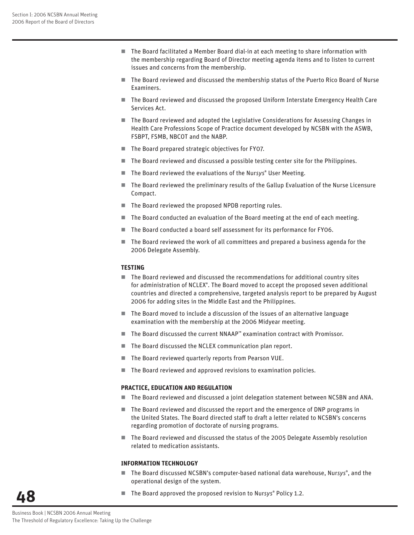- The Board facilitated a Member Board dial-in at each meeting to share information with the membership regarding Board of Director meeting agenda items and to listen to current issues and concerns from the membership.
- $\blacksquare$  The Board reviewed and discussed the membership status of the Puerto Rico Board of Nurse Examiners.
- The Board reviewed and discussed the proposed Uniform Interstate Emergency Health Care Services Act.
- $\blacksquare$  The Board reviewed and adopted the Legislative Considerations for Assessing Changes in Health Care Professions Scope of Practice document developed by NCSBN with the ASWB, FSBPT, FSMB, NBCOT and the NABP.
- The Board prepared strategic objectives for FY07.
- $\blacksquare$  The Board reviewed and discussed a possible testing center site for the Philippines.
- The Board reviewed the evaluations of the Nursys<sup>®</sup> User Meeting.
- $\blacksquare$  The Board reviewed the preliminary results of the Gallup Evaluation of the Nurse Licensure Compact.
- $\blacksquare$  The Board reviewed the proposed NPDB reporting rules.
- $\blacksquare$  The Board conducted an evaluation of the Board meeting at the end of each meeting.
- $\blacksquare$  The Board conducted a board self assessment for its performance for FY06.
- $\blacksquare$  The Board reviewed the work of all committees and prepared a business agenda for the 2006 Delegate Assembly.

#### **TESTING**

- $\blacksquare$  The Board reviewed and discussed the recommendations for additional country sites for administration of NCLEX $^\circ$ . The Board moved to accept the proposed seven additional countries and directed a comprehensive, targeted analysis report to be prepared by August 2006 for adding sites in the Middle East and the Philippines.
- $\blacksquare$  The Board moved to include a discussion of the issues of an alternative language examination with the membership at the 2006 Midyear meeting.
- $\blacksquare$  The Board discussed the current NNAAP<sup>"</sup> examination contract with Promissor.
- $\blacksquare$  The Board discussed the NCLEX communication plan report.
- $\blacksquare$  The Board reviewed quarterly reports from Pearson VUE.
- $\blacksquare$  The Board reviewed and approved revisions to examination policies.

#### **PRACTICE, EDUCATION AND REGULATION**

- $\blacksquare$  The Board reviewed and discussed a joint delegation statement between NCSBN and ANA.
- $\blacksquare$  The Board reviewed and discussed the report and the emergence of DNP programs in the United States. The Board directed staff to draft a letter related to NCSBN's concerns regarding promotion of doctorate of nursing programs.
- $\blacksquare$  The Board reviewed and discussed the status of the 2005 Delegate Assembly resolution related to medication assistants.

#### **INFORMATION TECHNOLOGY**

- The Board discussed NCSBN's computer-based national data warehouse, Nursys<sup>®</sup>, and the operational design of the system.
- The Board approved the proposed revision to Nursys<sup>®</sup> Policy 1.2.

**#'**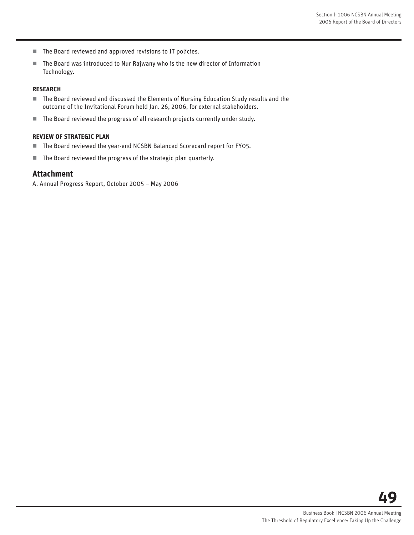- The Board reviewed and approved revisions to IT policies.
- The Board was introduced to Nur Rajwany who is the new director of Information  $\overline{\phantom{a}}$ Technology.

#### **RESEARCH**

- The Board reviewed and discussed the Elements of Nursing Education Study results and the outcome of the Invitational Forum held Jan. 26, 2006, for external stakeholders.
- The Board reviewed the progress of all research projects currently under study.

## **REVIEW OF STRATEGIC PLAN**

- The Board reviewed the year-end NCSBN Balanced Scorecard report for FY05.
- The Board reviewed the progress of the strategic plan quarterly.

## **Attachment**

A. Annual Progress Report, October 2005 - May 2006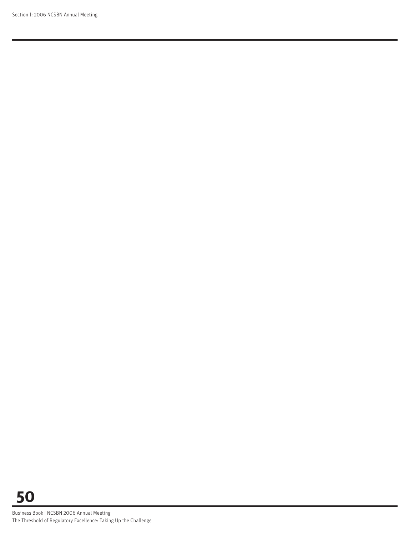Section I: 2006 NCSBN Annual Meeting

# 50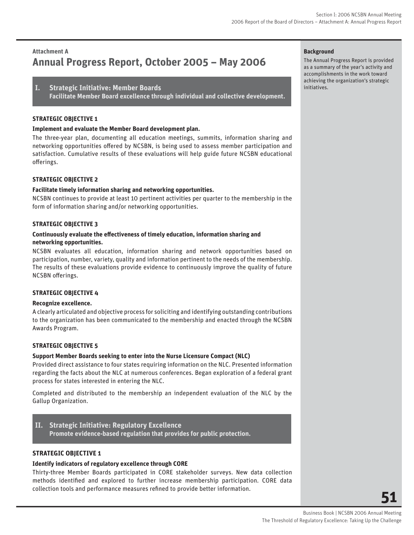# <span id="page-47-0"></span>**Attachment A Annual Progress Report, October 2005 - May 2006**

## **8. Strategic Initiative: Member Boards**

Facilitate Member Board excellence through individual and collective development.

#### **STRATEGIC OBJECTIVE 1**

#### Implement and evaluate the Member Board development plan.

The three-year plan, documenting all education meetings, summits, information sharing and networking opportunities offered by NCSBN, is being used to assess member participation and satisfaction. Cumulative results of these evaluations will help guide future NCSBN educational offerings.

#### **STRATEGIC OBIECTIVE 2**

#### Facilitate timely information sharing and networking opportunities.

NCSBN continues to provide at least 10 pertinent activities per quarter to the membership in the form of information sharing and/or networking opportunities.

#### **STRATEGIC OBJECTIVE 3**

#### Continuously evaluate the effectiveness of timely education, information sharing and  $networking$  opportunities.

NCSBN evaluates all education, information sharing and network opportunities based on participation, number, variety, quality and information pertinent to the needs of the membership. The results of these evaluations provide evidence to continuously improve the quality of future NCSBN offerings.

#### **STRATEGIC OBJECTIVE 4**

#### **Recognize excellence.**

A clearly articulated and objective process for soliciting and identifying outstanding contributions to the organization has been communicated to the membership and enacted through the NCSBN Awards Program.

#### **STRATEGIC OBJECTIVE 5**

#### Support Member Boards seeking to enter into the Nurse Licensure Compact (NLC)

Provided direct assistance to four states requiring information on the NLC. Presented information regarding the facts about the NLC at numerous conferences. Began exploration of a federal grant process for states interested in entering the NLC.

Completed and distributed to the membership an independent evaluation of the NLC by the Gallup Organization.

## **II.** Strategic Initiative: Regulatory Excellence Promote evidence-based regulation that provides for public protection.

#### **STRATEGIC OBJECTIVE 1**

#### **Identify indicators of regulatory excellence through CORE**

Thirty-three Member Boards participated in CORE stakeholder surveys. New data collection methods identified and explored to further increase membership participation. CORE data collection tools and performance measures refined to provide better information.

#### **Background**

The Annual Progress Report is provided as a summary of the year's activity and accomplishments in the work toward achieving the organization's strategic initiatives.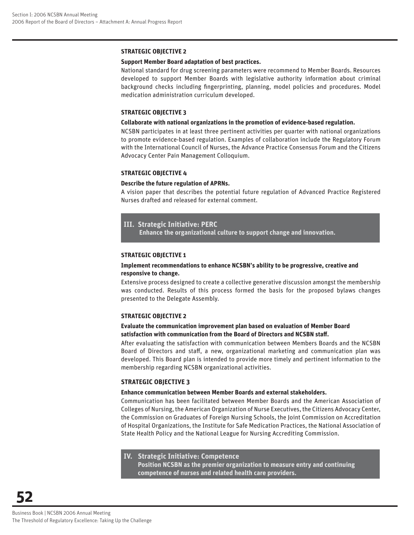#### **STRATEGIC OBJECTIVE 2**

#### **Support Member Board adaptation of best practices.**

National standard for drug screening parameters were recommend to Member Boards. Resources developed to support Member Boards with legislative authority information about criminal background checks including fingerprinting, planning, model policies and procedures. Model medication administration curriculum developed.

## **STRATEGIC OBJECTIVE 3**

#### Collaborate with national organizations in the promotion of evidence-based regulation.

NCSBN participates in at least three pertinent activities per quarter with national organizations to promote evidence-based regulation. Examples of collaboration include the Regulatory Forum with the International Council of Nurses, the Advance Practice Consensus Forum and the Citizens Advocacy Center Pain Management Colloquium.

## **STRATEGIC OBJECTIVE 4**

## **Describe the future regulation of APRNs.**

A vision paper that describes the potential future regulation of Advanced Practice Registered Nurses drafted and released for external comment.

## **III. Strategic Initiative: PERC**

Enhance the organizational culture to support change and innovation.

## **STRATEGIC OBIECTIVE 1**

## Implement recommendations to enhance NCSBN's ability to be progressive, creative and responsive to change.

Extensive process designed to create a collective generative discussion amongst the membership was conducted. Results of this process formed the basis for the proposed bylaws changes presented to the Delegate Assembly.

## **STRATEGIC OBJECTIVE 2**

## Evaluate the communication improvement plan based on evaluation of Member Board satisfaction with communication from the Board of Directors and NCSBN staff.

After evaluating the satisfaction with communication between Members Boards and the NCSBN Board of Directors and staff, a new, organizational marketing and communication plan was developed. This Board plan is intended to provide more timely and pertinent information to the membership regarding NCSBN organizational activities.

## **STRATEGIC OBJECTIVE 3**

#### **Enhance communication between Member Boards and external stakeholders.**

Communication has been facilitated between Member Boards and the American Association of Colleges of Nursing, the American Organization of Nurse Executives, the Citizens Advocacy Center, the Commission on Graduates of Foreign Nursing Schools, the Joint Commission on Accreditation of Hospital Organizations, the Institute for Safe Medication Practices, the National Association of State Health Policy and the National League for Nursing Accrediting Commission.

## **IV.** Strategic Initiative: Competence

Position NCSBN as the premier organization to measure entry and continuing competence of nurses and related health care providers.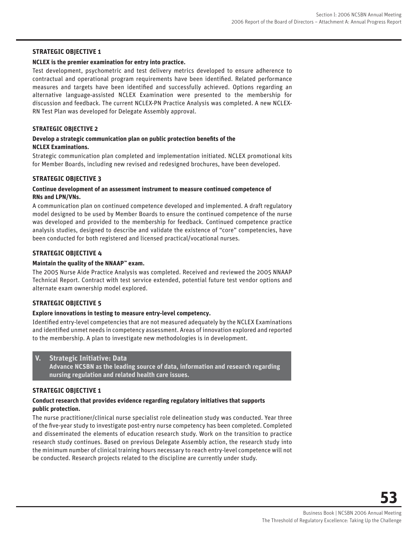## **STRATEGIC OBJECTIVE 1**

#### NCLEX is the premier examination for entry into practice.

Test development, psychometric and test delivery metrics developed to ensure adherence to contractual and operational program requirements have been identified. Related performance measures and targets have been identified and successfully achieved. Options regarding an alternative language-assisted NCLEX Examination were presented to the membership for discussion and feedback. The current NCLEX-PN Practice Analysis was completed. A new NCLEX-RN Test Plan was developed for Delegate Assembly approval.

#### **STRATEGIC OBJECTIVE 2**

## Develop a strategic communication plan on public protection benefits of the **NCLEX Examinations.**

Strategic communication plan completed and implementation initiated. NCLEX promotional kits for Member Boards, including new revised and redesigned brochures, have been developed.

## **STRATEGIC OBJECTIVE 3**

#### Continue development of an assessment instrument to measure continued competence of RNs and LPN/VNs.

A communication plan on continued competence developed and implemented. A draft regulatory model designed to be used by Member Boards to ensure the continued competence of the nurse was developed and provided to the membership for feedback. Continued competence practice analysis studies, designed to describe and validate the existence of "core" competencies, have been conducted for both registered and licensed practical/vocational nurses.

## **STRATEGIC OBJECTIVE 4**

## Maintain the quality of the NNAAP<sup>™</sup> exam.

The 2005 Nurse Aide Practice Analysis was completed. Received and reviewed the 2005 NNAAP Technical Report. Contract with test service extended, potential future test vendor options and alternate exam ownership model explored.

#### **STRATEGIC OBJECTIVE 5**

#### Explore innovations in testing to measure entry-level competency.

Identified entry-level competencies that are not measured adequately by the NCLEX Examinations and identified unmet needs in competency assessment. Areas of innovation explored and reported to the membership. A plan to investigate new methodologies is in development.

#### $\overline{\mathsf{V}}$ . **Strategic Initiative: Data**

Advance NCSBN as the leading source of data, information and research regarding nursing regulation and related health care issues.

## **STRATEGIC OBJECTIVE 1**

## Conduct research that provides evidence regarding regulatory initiatives that supports public protection.

The nurse practitioner/clinical nurse specialist role delineation study was conducted. Year three of the five-year study to investigate post-entry nurse competency has been completed. Completed and disseminated the elements of education research study. Work on the transition to practice research study continues. Based on previous Delegate Assembly action, the research study into the minimum number of clinical training hours necessary to reach entry-level competence will not be conducted. Research projects related to the discipline are currently under study.